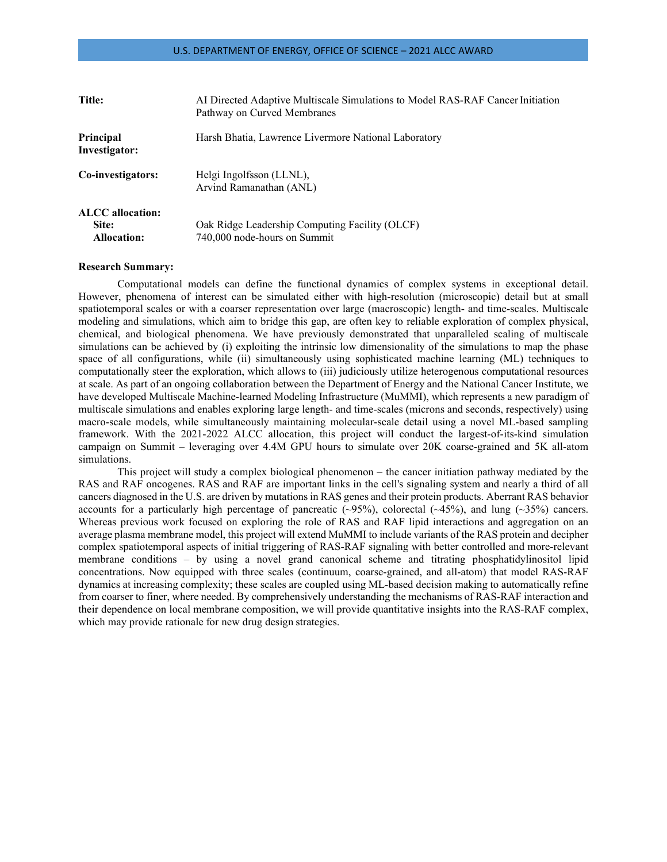| Title:                                                 | AI Directed Adaptive Multiscale Simulations to Model RAS-RAF Cancer Initiation<br>Pathway on Curved Membranes |
|--------------------------------------------------------|---------------------------------------------------------------------------------------------------------------|
| Principal<br>Investigator:                             | Harsh Bhatia, Lawrence Livermore National Laboratory                                                          |
| Co-investigators:                                      | Helgi Ingolfsson (LLNL),<br>Arvind Ramanathan (ANL)                                                           |
| <b>ALCC</b> allocation:<br>Site:<br><b>Allocation:</b> | Oak Ridge Leadership Computing Facility (OLCF)<br>740,000 node-hours on Summit                                |

#### **Research Summary:**

Computational models can define the functional dynamics of complex systems in exceptional detail. However, phenomena of interest can be simulated either with high-resolution (microscopic) detail but at small spatiotemporal scales or with a coarser representation over large (macroscopic) length- and time-scales. Multiscale modeling and simulations, which aim to bridge this gap, are often key to reliable exploration of complex physical, chemical, and biological phenomena. We have previously demonstrated that unparalleled scaling of multiscale simulations can be achieved by (i) exploiting the intrinsic low dimensionality of the simulations to map the phase space of all configurations, while (ii) simultaneously using sophisticated machine learning (ML) techniques to computationally steer the exploration, which allows to (iii) judiciously utilize heterogenous computational resources at scale. As part of an ongoing collaboration between the Department of Energy and the National Cancer Institute, we have developed Multiscale Machine-learned Modeling Infrastructure (MuMMI), which represents a new paradigm of multiscale simulations and enables exploring large length- and time-scales (microns and seconds, respectively) using macro-scale models, while simultaneously maintaining molecular-scale detail using a novel ML-based sampling framework. With the 2021-2022 ALCC allocation, this project will conduct the largest-of-its-kind simulation campaign on Summit – leveraging over 4.4M GPU hours to simulate over 20K coarse-grained and 5K all-atom simulations.

This project will study a complex biological phenomenon – the cancer initiation pathway mediated by the RAS and RAF oncogenes. RAS and RAF are important links in the cell's signaling system and nearly a third of all cancers diagnosed in the U.S. are driven by mutationsin RAS genes and their protein products. Aberrant RAS behavior accounts for a particularly high percentage of pancreatic  $(\sim 95\%)$ , colorectal  $(\sim 45\%)$ , and lung  $(\sim 35\%)$  cancers. Whereas previous work focused on exploring the role of RAS and RAF lipid interactions and aggregation on an average plasma membrane model, this project will extend MuMMI to include variants of the RAS protein and decipher complex spatiotemporal aspects of initial triggering of RAS-RAF signaling with better controlled and more-relevant membrane conditions – by using a novel grand canonical scheme and titrating phosphatidylinositol lipid concentrations. Now equipped with three scales (continuum, coarse-grained, and all-atom) that model RAS-RAF dynamics at increasing complexity; these scales are coupled using ML-based decision making to automatically refine from coarser to finer, where needed. By comprehensively understanding the mechanisms of RAS-RAF interaction and their dependence on local membrane composition, we will provide quantitative insights into the RAS-RAF complex, which may provide rationale for new drug design strategies.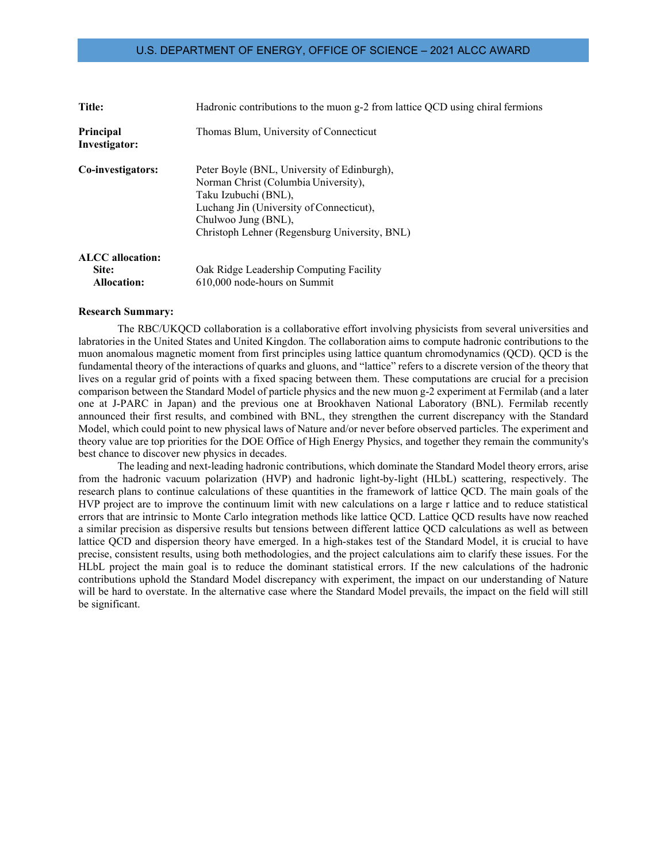| Title:                                                 | Hadronic contributions to the muon g-2 from lattice QCD using chiral fermions                                                                                                                                                   |
|--------------------------------------------------------|---------------------------------------------------------------------------------------------------------------------------------------------------------------------------------------------------------------------------------|
| <b>Principal</b><br>Investigator:                      | Thomas Blum, University of Connecticut                                                                                                                                                                                          |
| Co-investigators:                                      | Peter Boyle (BNL, University of Edinburgh),<br>Norman Christ (Columbia University),<br>Taku Izubuchi (BNL),<br>Luchang Jin (University of Connecticut),<br>Chulwoo Jung (BNL),<br>Christoph Lehner (Regensburg University, BNL) |
| <b>ALCC</b> allocation:<br>Site:<br><b>Allocation:</b> | Oak Ridge Leadership Computing Facility<br>610,000 node-hours on Summit                                                                                                                                                         |

#### **Research Summary:**

The RBC/UKQCD collaboration is a collaborative effort involving physicists from several universities and labratories in the United States and United Kingdon. The collaboration aims to compute hadronic contributions to the muon anomalous magnetic moment from first principles using lattice quantum chromodynamics (QCD). QCD is the fundamental theory of the interactions of quarks and gluons, and "lattice" refers to a discrete version of the theory that lives on a regular grid of points with a fixed spacing between them. These computations are crucial for a precision comparison between the Standard Model of particle physics and the new muon g-2 experiment at Fermilab (and a later one at J-PARC in Japan) and the previous one at Brookhaven National Laboratory (BNL). Fermilab recently announced their first results, and combined with BNL, they strengthen the current discrepancy with the Standard Model, which could point to new physical laws of Nature and/or never before observed particles. The experiment and theory value are top priorities for the DOE Office of High Energy Physics, and together they remain the community's best chance to discover new physics in decades.

The leading and next-leading hadronic contributions, which dominate the Standard Model theory errors, arise from the hadronic vacuum polarization (HVP) and hadronic light-by-light (HLbL) scattering, respectively. The research plans to continue calculations of these quantities in the framework of lattice QCD. The main goals of the HVP project are to improve the continuum limit with new calculations on a large r lattice and to reduce statistical errors that are intrinsic to Monte Carlo integration methods like lattice QCD. Lattice QCD results have now reached a similar precision as dispersive results but tensions between different lattice QCD calculations as well as between lattice QCD and dispersion theory have emerged. In a high-stakes test of the Standard Model, it is crucial to have precise, consistent results, using both methodologies, and the project calculations aim to clarify these issues. For the HLbL project the main goal is to reduce the dominant statistical errors. If the new calculations of the hadronic contributions uphold the Standard Model discrepancy with experiment, the impact on our understanding of Nature will be hard to overstate. In the alternative case where the Standard Model prevails, the impact on the field will still be significant.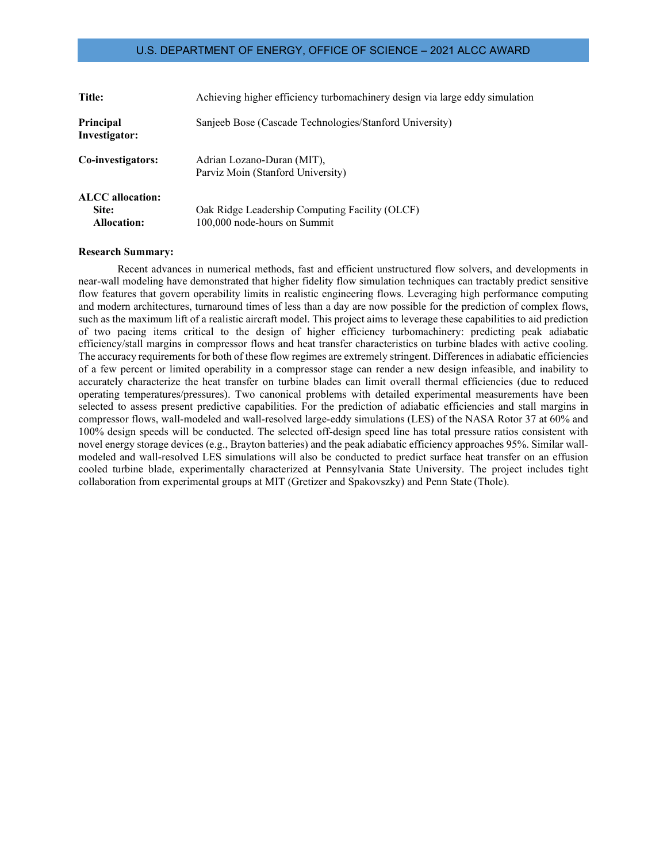| Title:                                                 | Achieving higher efficiency turbomachinery design via large eddy simulation    |
|--------------------------------------------------------|--------------------------------------------------------------------------------|
| Principal<br>Investigator:                             | Sanjeeb Bose (Cascade Technologies/Stanford University)                        |
| Co-investigators:                                      | Adrian Lozano-Duran (MIT),<br>Parviz Moin (Stanford University)                |
| <b>ALCC</b> allocation:<br>Site:<br><b>Allocation:</b> | Oak Ridge Leadership Computing Facility (OLCF)<br>100,000 node-hours on Summit |

#### **Research Summary:**

Recent advances in numerical methods, fast and efficient unstructured flow solvers, and developments in near-wall modeling have demonstrated that higher fidelity flow simulation techniques can tractably predict sensitive flow features that govern operability limits in realistic engineering flows. Leveraging high performance computing and modern architectures, turnaround times of less than a day are now possible for the prediction of complex flows, such as the maximum lift of a realistic aircraft model. This project aims to leverage these capabilities to aid prediction of two pacing items critical to the design of higher efficiency turbomachinery: predicting peak adiabatic efficiency/stall margins in compressor flows and heat transfer characteristics on turbine blades with active cooling. The accuracy requirements for both of these flow regimes are extremely stringent. Differences in adiabatic efficiencies of a few percent or limited operability in a compressor stage can render a new design infeasible, and inability to accurately characterize the heat transfer on turbine blades can limit overall thermal efficiencies (due to reduced operating temperatures/pressures). Two canonical problems with detailed experimental measurements have been selected to assess present predictive capabilities. For the prediction of adiabatic efficiencies and stall margins in compressor flows, wall-modeled and wall-resolved large-eddy simulations (LES) of the NASA Rotor 37 at 60% and 100% design speeds will be conducted. The selected off-design speed line has total pressure ratios consistent with novel energy storage devices (e.g., Brayton batteries) and the peak adiabatic efficiency approaches 95%. Similar wallmodeled and wall-resolved LES simulations will also be conducted to predict surface heat transfer on an effusion cooled turbine blade, experimentally characterized at Pennsylvania State University. The project includes tight collaboration from experimental groups at MIT (Gretizer and Spakovszky) and Penn State (Thole).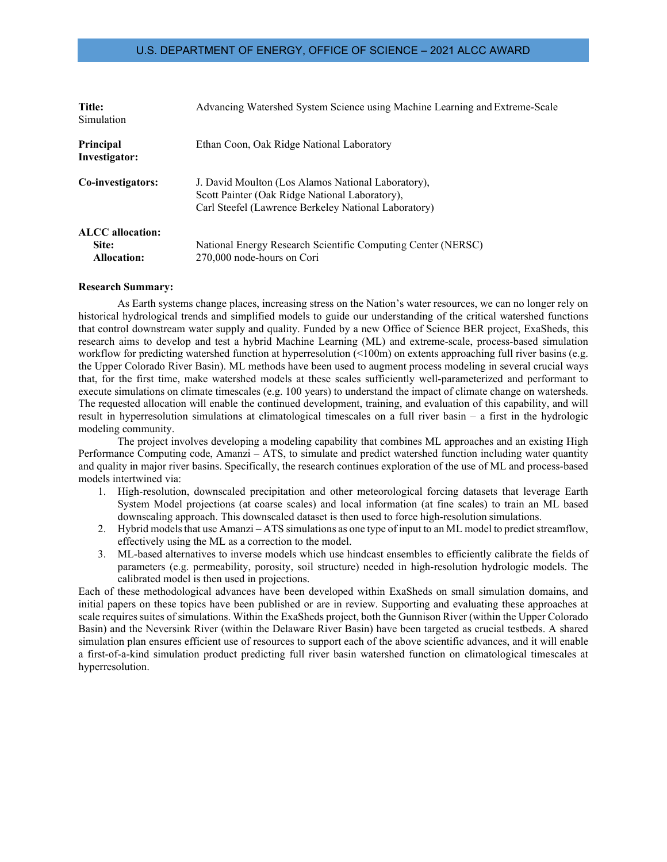| Title:<br>Simulation                            | Advancing Watershed System Science using Machine Learning and Extreme-Scale                                                                                  |
|-------------------------------------------------|--------------------------------------------------------------------------------------------------------------------------------------------------------------|
| Principal<br>Investigator:                      | Ethan Coon, Oak Ridge National Laboratory                                                                                                                    |
| Co-investigators:                               | J. David Moulton (Los Alamos National Laboratory),<br>Scott Painter (Oak Ridge National Laboratory),<br>Carl Steefel (Lawrence Berkeley National Laboratory) |
| ALCC allocation:<br>Site:<br><b>Allocation:</b> | National Energy Research Scientific Computing Center (NERSC)<br>270,000 node-hours on Cori                                                                   |

#### **Research Summary:**

As Earth systems change places, increasing stress on the Nation's water resources, we can no longer rely on historical hydrological trends and simplified models to guide our understanding of the critical watershed functions that control downstream water supply and quality. Funded by a new Office of Science BER project, ExaSheds, this research aims to develop and test a hybrid Machine Learning (ML) and extreme-scale, process-based simulation workflow for predicting watershed function at hyperresolution (<100m) on extents approaching full river basins (e.g. the Upper Colorado River Basin). ML methods have been used to augment process modeling in several crucial ways that, for the first time, make watershed models at these scales sufficiently well-parameterized and performant to execute simulations on climate timescales (e.g. 100 years) to understand the impact of climate change on watersheds. The requested allocation will enable the continued development, training, and evaluation of this capability, and will result in hyperresolution simulations at climatological timescales on a full river basin – a first in the hydrologic modeling community.

The project involves developing a modeling capability that combines ML approaches and an existing High Performance Computing code, Amanzi – ATS, to simulate and predict watershed function including water quantity and quality in major river basins. Specifically, the research continues exploration of the use of ML and process-based models intertwined via:

- 1. High-resolution, downscaled precipitation and other meteorological forcing datasets that leverage Earth System Model projections (at coarse scales) and local information (at fine scales) to train an ML based downscaling approach. This downscaled dataset is then used to force high-resolution simulations.
- 2. Hybrid models that use Amanzi ATS simulations as one type of input to an ML model to predict streamflow, effectively using the ML as a correction to the model.
- 3. ML-based alternatives to inverse models which use hindcast ensembles to efficiently calibrate the fields of parameters (e.g. permeability, porosity, soil structure) needed in high-resolution hydrologic models. The calibrated model is then used in projections.

Each of these methodological advances have been developed within ExaSheds on small simulation domains, and initial papers on these topics have been published or are in review. Supporting and evaluating these approaches at scale requires suites of simulations. Within the ExaSheds project, both the Gunnison River (within the Upper Colorado Basin) and the Neversink River (within the Delaware River Basin) have been targeted as crucial testbeds. A shared simulation plan ensures efficient use of resources to support each of the above scientific advances, and it will enable a first-of-a-kind simulation product predicting full river basin watershed function on climatological timescales at hyperresolution.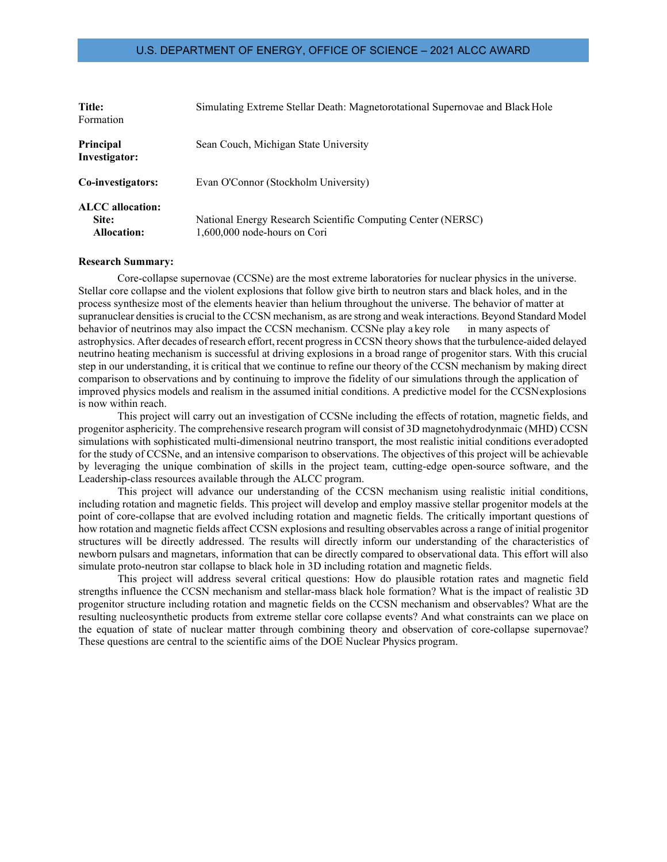| Title:<br>Formation                             | Simulating Extreme Stellar Death: Magnetorotational Supernovae and Black Hole                |
|-------------------------------------------------|----------------------------------------------------------------------------------------------|
| Principal<br>Investigator:                      | Sean Couch, Michigan State University                                                        |
| Co-investigators:                               | Evan O'Connor (Stockholm University)                                                         |
| ALCC allocation:<br>Site:<br><b>Allocation:</b> | National Energy Research Scientific Computing Center (NERSC)<br>1,600,000 node-hours on Cori |

#### **Research Summary:**

Core-collapse supernovae (CCSNe) are the most extreme laboratories for nuclear physics in the universe. Stellar core collapse and the violent explosions that follow give birth to neutron stars and black holes, and in the process synthesize most of the elements heavier than helium throughout the universe. The behavior of matter at supranuclear densities is crucial to the CCSN mechanism, as are strong and weak interactions. Beyond Standard Model behavior of neutrinos may also impact the CCSN mechanism. CCSNe play a key role in many aspects of astrophysics. After decades of research effort, recent progressin CCSN theory showsthat the turbulence-aided delayed neutrino heating mechanism is successful at driving explosions in a broad range of progenitor stars. With this crucial step in our understanding, it is critical that we continue to refine our theory of the CCSN mechanism by making direct comparison to observations and by continuing to improve the fidelity of our simulations through the application of improved physics models and realism in the assumed initial conditions. A predictive model for the CCSNexplosions is now within reach.

This project will carry out an investigation of CCSNe including the effects of rotation, magnetic fields, and progenitor asphericity. The comprehensive research program will consist of 3D magnetohydrodynmaic (MHD) CCSN simulations with sophisticated multi-dimensional neutrino transport, the most realistic initial conditions everadopted for the study of CCSNe, and an intensive comparison to observations. The objectives of this project will be achievable by leveraging the unique combination of skills in the project team, cutting-edge open-source software, and the Leadership-class resources available through the ALCC program.

This project will advance our understanding of the CCSN mechanism using realistic initial conditions, including rotation and magnetic fields. This project will develop and employ massive stellar progenitor models at the point of core-collapse that are evolved including rotation and magnetic fields. The critically important questions of how rotation and magnetic fields affect CCSN explosions and resulting observables across a range of initial progenitor structures will be directly addressed. The results will directly inform our understanding of the characteristics of newborn pulsars and magnetars, information that can be directly compared to observational data. This effort will also simulate proto-neutron star collapse to black hole in 3D including rotation and magnetic fields.

This project will address several critical questions: How do plausible rotation rates and magnetic field strengths influence the CCSN mechanism and stellar-mass black hole formation? What is the impact of realistic 3D progenitor structure including rotation and magnetic fields on the CCSN mechanism and observables? What are the resulting nucleosynthetic products from extreme stellar core collapse events? And what constraints can we place on the equation of state of nuclear matter through combining theory and observation of core-collapse supernovae? These questions are central to the scientific aims of the DOE Nuclear Physics program.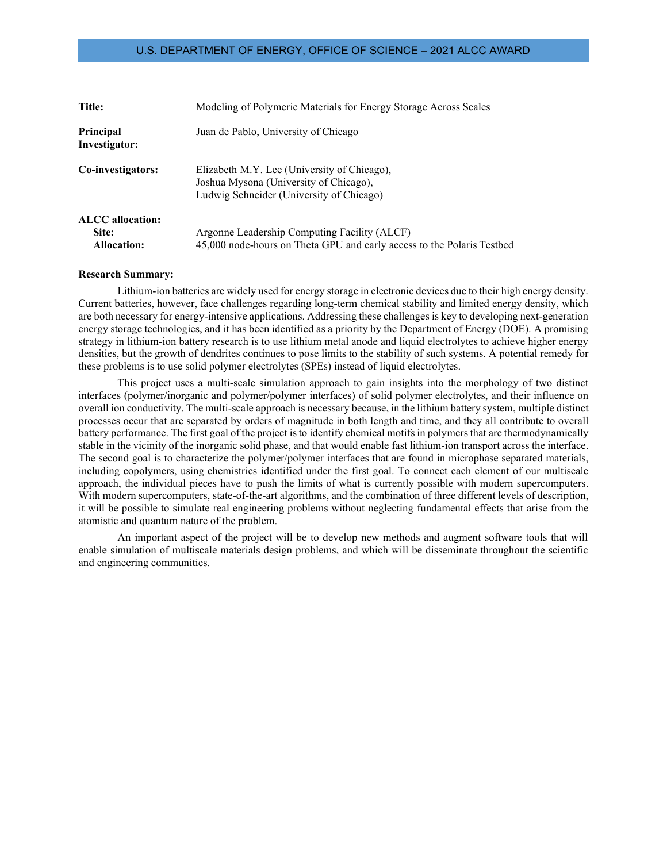| <b>Title:</b>                     | Modeling of Polymeric Materials for Energy Storage Across Scales                                                                  |
|-----------------------------------|-----------------------------------------------------------------------------------------------------------------------------------|
| <b>Principal</b><br>Investigator: | Juan de Pablo, University of Chicago                                                                                              |
| Co-investigators:                 | Elizabeth M.Y. Lee (University of Chicago),<br>Joshua Mysona (University of Chicago),<br>Ludwig Schneider (University of Chicago) |
| <b>ALCC</b> allocation:           |                                                                                                                                   |
| Site:                             | Argonne Leadership Computing Facility (ALCF)                                                                                      |
| <b>Allocation:</b>                | 45,000 node-hours on Theta GPU and early access to the Polaris Testbed                                                            |

#### **Research Summary:**

Lithium-ion batteries are widely used for energy storage in electronic devices due to their high energy density. Current batteries, however, face challenges regarding long-term chemical stability and limited energy density, which are both necessary for energy-intensive applications. Addressing these challenges is key to developing next-generation energy storage technologies, and it has been identified as a priority by the Department of Energy (DOE). A promising strategy in lithium-ion battery research is to use lithium metal anode and liquid electrolytes to achieve higher energy densities, but the growth of dendrites continues to pose limits to the stability of such systems. A potential remedy for these problems is to use solid polymer electrolytes (SPEs) instead of liquid electrolytes.

This project uses a multi-scale simulation approach to gain insights into the morphology of two distinct interfaces (polymer/inorganic and polymer/polymer interfaces) of solid polymer electrolytes, and their influence on overall ion conductivity. The multi-scale approach is necessary because, in the lithium battery system, multiple distinct processes occur that are separated by orders of magnitude in both length and time, and they all contribute to overall battery performance. The first goal of the project is to identify chemical motifs in polymers that are thermodynamically stable in the vicinity of the inorganic solid phase, and that would enable fast lithium-ion transport across the interface. The second goal is to characterize the polymer/polymer interfaces that are found in microphase separated materials, including copolymers, using chemistries identified under the first goal. To connect each element of our multiscale approach, the individual pieces have to push the limits of what is currently possible with modern supercomputers. With modern supercomputers, state-of-the-art algorithms, and the combination of three different levels of description, it will be possible to simulate real engineering problems without neglecting fundamental effects that arise from the atomistic and quantum nature of the problem.

An important aspect of the project will be to develop new methods and augment software tools that will enable simulation of multiscale materials design problems, and which will be disseminate throughout the scientific and engineering communities.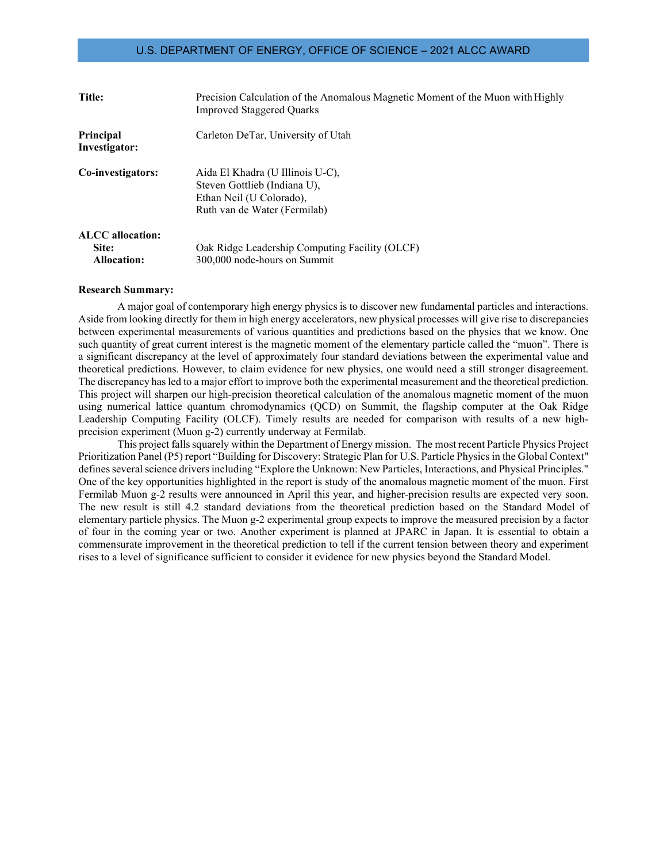| <b>Title:</b>                                          | Precision Calculation of the Anomalous Magnetic Moment of the Muon with Highly<br><b>Improved Staggered Quarks</b>           |
|--------------------------------------------------------|------------------------------------------------------------------------------------------------------------------------------|
| Principal<br>Investigator:                             | Carleton DeTar, University of Utah                                                                                           |
| Co-investigators:                                      | Aida El Khadra (U Illinois U-C),<br>Steven Gottlieb (Indiana U),<br>Ethan Neil (U Colorado),<br>Ruth van de Water (Fermilab) |
| <b>ALCC</b> allocation:<br>Site:<br><b>Allocation:</b> | Oak Ridge Leadership Computing Facility (OLCF)<br>300,000 node-hours on Summit                                               |

#### **Research Summary:**

A major goal of contemporary high energy physics is to discover new fundamental particles and interactions. Aside from looking directly for them in high energy accelerators, new physical processes will give rise to discrepancies between experimental measurements of various quantities and predictions based on the physics that we know. One such quantity of great current interest is the magnetic moment of the elementary particle called the "muon". There is a significant discrepancy at the level of approximately four standard deviations between the experimental value and theoretical predictions. However, to claim evidence for new physics, one would need a still stronger disagreement. The discrepancy hasled to a major effort to improve both the experimental measurement and the theoretical prediction. This project will sharpen our high-precision theoretical calculation of the anomalous magnetic moment of the muon using numerical lattice quantum chromodynamics (QCD) on Summit, the flagship computer at the Oak Ridge Leadership Computing Facility (OLCF). Timely results are needed for comparison with results of a new highprecision experiment (Muon g-2) currently underway at Fermilab.

This project fallssquarely within the Department of Energy mission. The most recent Particle Physics Project Prioritization Panel (P5) report "Building for Discovery: Strategic Plan for U.S. Particle Physics in the Global Context" defines several science drivers including "Explore the Unknown: New Particles, Interactions, and Physical Principles." One of the key opportunities highlighted in the report is study of the anomalous magnetic moment of the muon. First Fermilab Muon g-2 results were announced in April this year, and higher-precision results are expected very soon. The new result is still 4.2 standard deviations from the theoretical prediction based on the Standard Model of elementary particle physics. The Muon g-2 experimental group expects to improve the measured precision by a factor of four in the coming year or two. Another experiment is planned at JPARC in Japan. It is essential to obtain a commensurate improvement in the theoretical prediction to tell if the current tension between theory and experiment rises to a level of significance sufficient to consider it evidence for new physics beyond the Standard Model.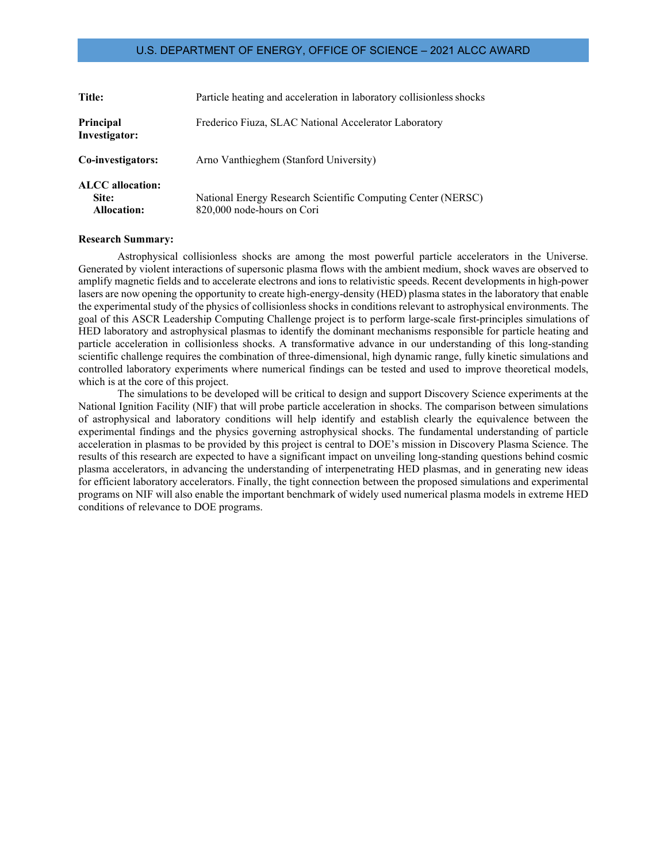| <b>Title:</b>                                          | Particle heating and acceleration in laboratory collisionless shocks                       |
|--------------------------------------------------------|--------------------------------------------------------------------------------------------|
| <b>Principal</b><br>Investigator:                      | Frederico Fiuza, SLAC National Accelerator Laboratory                                      |
| Co-investigators:                                      | Arno Vanthieghem (Stanford University)                                                     |
| <b>ALCC</b> allocation:<br>Site:<br><b>Allocation:</b> | National Energy Research Scientific Computing Center (NERSC)<br>820,000 node-hours on Cori |

#### **Research Summary:**

Astrophysical collisionless shocks are among the most powerful particle accelerators in the Universe. Generated by violent interactions of supersonic plasma flows with the ambient medium, shock waves are observed to amplify magnetic fields and to accelerate electrons and ions to relativistic speeds. Recent developments in high-power lasers are now opening the opportunity to create high-energy-density (HED) plasma states in the laboratory that enable the experimental study of the physics of collisionless shocks in conditions relevant to astrophysical environments. The goal of this ASCR Leadership Computing Challenge project is to perform large-scale first-principles simulations of HED laboratory and astrophysical plasmas to identify the dominant mechanisms responsible for particle heating and particle acceleration in collisionless shocks. A transformative advance in our understanding of this long-standing scientific challenge requires the combination of three-dimensional, high dynamic range, fully kinetic simulations and controlled laboratory experiments where numerical findings can be tested and used to improve theoretical models, which is at the core of this project.

The simulations to be developed will be critical to design and support Discovery Science experiments at the National Ignition Facility (NIF) that will probe particle acceleration in shocks. The comparison between simulations of astrophysical and laboratory conditions will help identify and establish clearly the equivalence between the experimental findings and the physics governing astrophysical shocks. The fundamental understanding of particle acceleration in plasmas to be provided by this project is central to DOE's mission in Discovery Plasma Science. The results of this research are expected to have a significant impact on unveiling long-standing questions behind cosmic plasma accelerators, in advancing the understanding of interpenetrating HED plasmas, and in generating new ideas for efficient laboratory accelerators. Finally, the tight connection between the proposed simulations and experimental programs on NIF will also enable the important benchmark of widely used numerical plasma models in extreme HED conditions of relevance to DOE programs.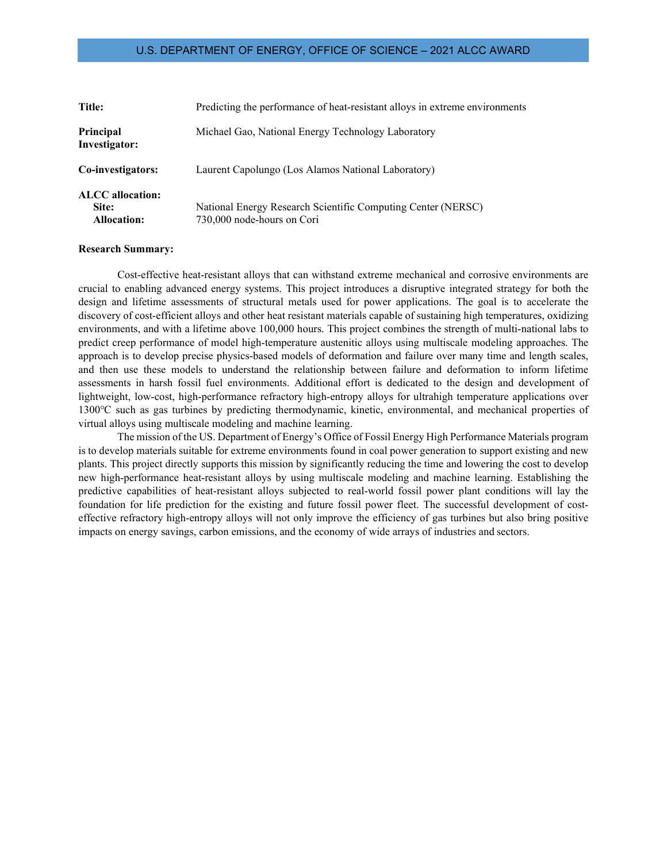| Title:                                                 | Predicting the performance of heat-resistant alloys in extreme environments                |
|--------------------------------------------------------|--------------------------------------------------------------------------------------------|
| Principal<br>Investigator:                             | Michael Gao, National Energy Technology Laboratory                                         |
| Co-investigators:                                      | Laurent Capolungo (Los Alamos National Laboratory)                                         |
| <b>ALCC</b> allocation:<br>Site:<br><b>Allocation:</b> | National Energy Research Scientific Computing Center (NERSC)<br>730,000 node-hours on Cori |

### **Research Summary:**

Cost-effective heat-resistant alloys that can withstand extreme mechanical and corrosive environments are crucial to enabling advanced energy systems. This project introduces a disruptive integrated strategy for both the design and lifetime assessments of structural metals used for power applications. The goal is to accelerate the discovery of cost-efficient alloys and other heat resistant materials capable of sustaining high temperatures, oxidizing environments, and with a lifetime above 100,000 hours. This project combines the strength of multi-national labs to predict creep performance of model high-temperature austenitic alloys using multiscale modeling approaches. The approach is to develop precise physics-based models of deformation and failure over many time and length scales, and then use these models to understand the relationship between failure and deformation to inform lifetime assessments in harsh fossil fuel environments. Additional effort is dedicated to the design and development of lightweight, low-cost, high-performance refractory high-entropy alloys for ultrahigh temperature applications over 1300℃ such as gas turbines by predicting thermodynamic, kinetic, environmental, and mechanical properties of virtual alloys using multiscale modeling and machine learning.

The mission of the US. Department of Energy's Office of Fossil Energy High Performance Materials program is to develop materials suitable for extreme environments found in coal power generation to support existing and new plants. This project directly supports this mission by significantly reducing the time and lowering the cost to develop new high-performance heat-resistant alloys by using multiscale modeling and machine learning. Establishing the predictive capabilities of heat-resistant alloys subjected to real-world fossil power plant conditions will lay the foundation for life prediction for the existing and future fossil power fleet. The successful development of costeffective refractory high-entropy alloys will not only improve the efficiency of gas turbines but also bring positive impacts on energy savings, carbon emissions, and the economy of wide arrays of industries and sectors.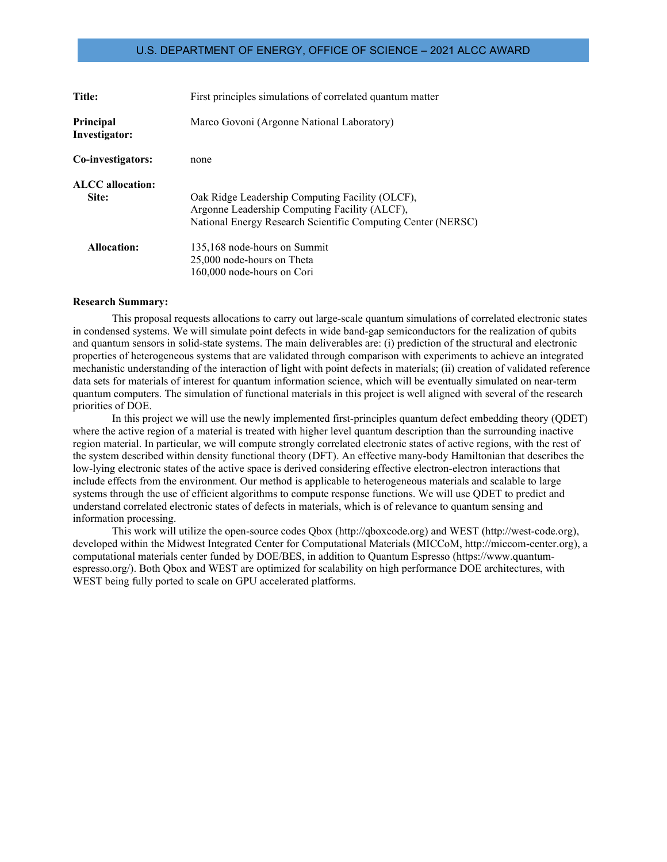| <b>Title:</b>              | First principles simulations of correlated quantum matter                                                                                                        |
|----------------------------|------------------------------------------------------------------------------------------------------------------------------------------------------------------|
| Principal<br>Investigator: | Marco Govoni (Argonne National Laboratory)                                                                                                                       |
| Co-investigators:          | none                                                                                                                                                             |
| <b>ALCC</b> allocation:    |                                                                                                                                                                  |
| Site:                      | Oak Ridge Leadership Computing Facility (OLCF),<br>Argonne Leadership Computing Facility (ALCF),<br>National Energy Research Scientific Computing Center (NERSC) |
| <b>Allocation:</b>         | 135,168 node-hours on Summit<br>25,000 node-hours on Theta<br>160,000 node-hours on Cori                                                                         |

#### **Research Summary:**

This proposal requests allocations to carry out large-scale quantum simulations of correlated electronic states in condensed systems. We will simulate point defects in wide band-gap semiconductors for the realization of qubits and quantum sensors in solid-state systems. The main deliverables are: (i) prediction of the structural and electronic properties of heterogeneous systems that are validated through comparison with experiments to achieve an integrated mechanistic understanding of the interaction of light with point defects in materials; (ii) creation of validated reference data sets for materials of interest for quantum information science, which will be eventually simulated on near-term quantum computers. The simulation of functional materials in this project is well aligned with several of the research priorities of DOE.

In this project we will use the newly implemented first-principles quantum defect embedding theory (QDET) where the active region of a material is treated with higher level quantum description than the surrounding inactive region material. In particular, we will compute strongly correlated electronic states of active regions, with the rest of the system described within density functional theory (DFT). An effective many-body Hamiltonian that describes the low-lying electronic states of the active space is derived considering effective electron-electron interactions that include effects from the environment. Our method is applicable to heterogeneous materials and scalable to large systems through the use of efficient algorithms to compute response functions. We will use QDET to predict and understand correlated electronic states of defects in materials, which is of relevance to quantum sensing and information processing.

This work will utilize the open-source codes Qbox (http://qboxcode.org) and WEST (http://west-code.org), developed within the Midwest Integrated Center for Computational Materials (MICCoM, http://miccom-center.org), a computational materials center funded by DOE/BES, in addition to Quantum Espresso (https://www.quantumespresso.org/). Both Qbox and WEST are optimized for scalability on high performance DOE architectures, with WEST being fully ported to scale on GPU accelerated platforms.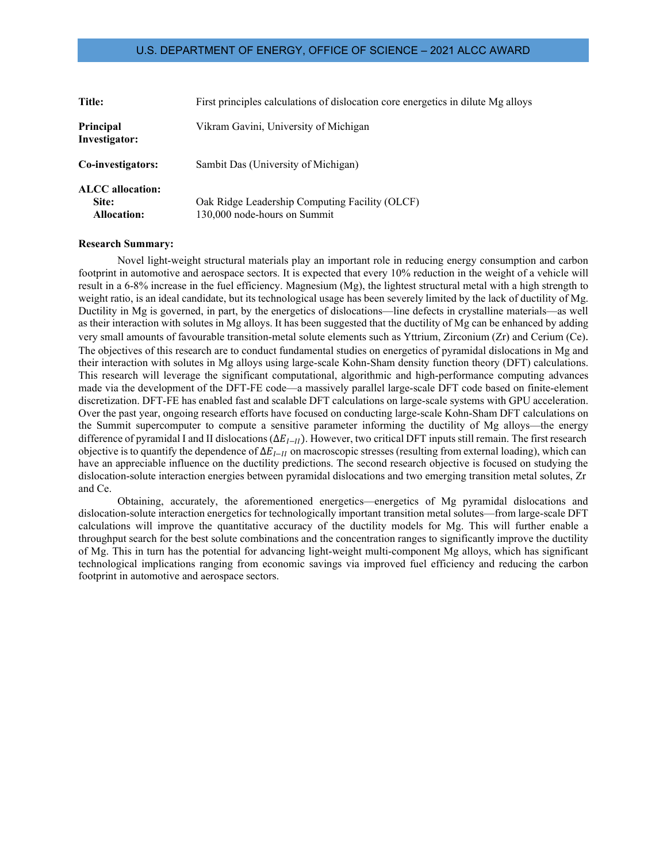| <b>Title:</b>                                   | First principles calculations of dislocation core energetics in dilute Mg alloys |
|-------------------------------------------------|----------------------------------------------------------------------------------|
| Principal<br>Investigator:                      | Vikram Gavini, University of Michigan                                            |
| Co-investigators:                               | Sambit Das (University of Michigan)                                              |
| ALCC allocation:<br>Site:<br><b>Allocation:</b> | Oak Ridge Leadership Computing Facility (OLCF)<br>130,000 node-hours on Summit   |

#### **Research Summary:**

Novel light-weight structural materials play an important role in reducing energy consumption and carbon footprint in automotive and aerospace sectors. It is expected that every 10% reduction in the weight of a vehicle will result in a 6-8% increase in the fuel efficiency. Magnesium (Mg), the lightest structural metal with a high strength to weight ratio, is an ideal candidate, but its technological usage has been severely limited by the lack of ductility of Mg. Ductility in Mg is governed, in part, by the energetics of dislocations—line defects in crystalline materials—as well as their interaction with solutes in Mg alloys. It has been suggested that the ductility of Mg can be enhanced by adding very small amounts of favourable transition-metal solute elements such as Yttrium, Zirconium (Zr) and Cerium (Ce). The objectives of this research are to conduct fundamental studies on energetics of pyramidal dislocations in Mg and their interaction with solutes in Mg alloys using large-scale Kohn-Sham density function theory (DFT) calculations. This research will leverage the significant computational, algorithmic and high-performance computing advances made via the development of the DFT-FE code—a massively parallel large-scale DFT code based on finite-element discretization. DFT-FE has enabled fast and scalable DFT calculations on large-scale systems with GPU acceleration. Over the past year, ongoing research efforts have focused on conducting large-scale Kohn-Sham DFT calculations on the Summit supercomputer to compute a sensitive parameter informing the ductility of Mg alloys—the energy difference of pyramidal I and II dislocations ( $\Delta E_{I-I}$ ). However, two critical DFT inputs still remain. The first research objective is to quantify the dependence of  $\Delta E_{I-I}$  on macroscopic stresses (resulting from external loading), which can have an appreciable influence on the ductility predictions. The second research objective is focused on studying the dislocation-solute interaction energies between pyramidal dislocations and two emerging transition metal solutes, Zr and Ce.

Obtaining, accurately, the aforementioned energetics—energetics of Mg pyramidal dislocations and dislocation-solute interaction energetics for technologically important transition metal solutes—from large-scale DFT calculations will improve the quantitative accuracy of the ductility models for Mg. This will further enable a throughput search for the best solute combinations and the concentration ranges to significantly improve the ductility of Mg. This in turn has the potential for advancing light-weight multi-component Mg alloys, which has significant technological implications ranging from economic savings via improved fuel efficiency and reducing the carbon footprint in automotive and aerospace sectors.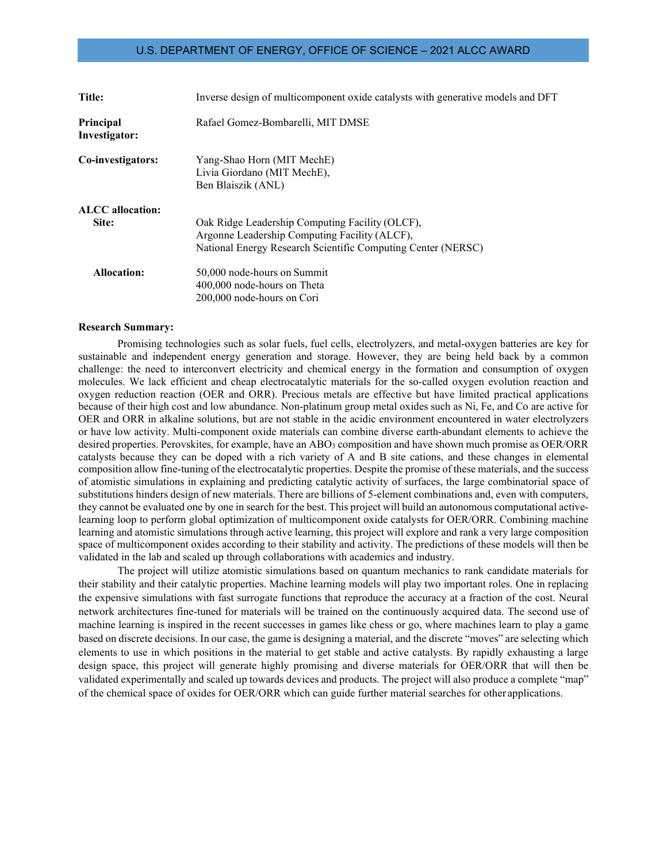| Title:                     | Inverse design of multicomponent oxide catalysts with generative models and DFT                                                                                  |
|----------------------------|------------------------------------------------------------------------------------------------------------------------------------------------------------------|
| Principal<br>Investigator: | Rafael Gomez-Bombarelli, MIT DMSE                                                                                                                                |
| Co-investigators:          | Yang-Shao Horn (MIT MechE)<br>Livia Giordano (MIT MechE),<br>Ben Blaiszik (ANL)                                                                                  |
| ALCC allocation:<br>Site:  | Oak Ridge Leadership Computing Facility (OLCF),<br>Argonne Leadership Computing Facility (ALCF),<br>National Energy Research Scientific Computing Center (NERSC) |
| Allocation:                | 50,000 node-hours on Summit<br>400,000 node-hours on Theta<br>200,000 node-hours on Cori                                                                         |

#### **Research Summary:**

Promising technologies such as solar fuels, fuel cells, electrolyzers, and metal-oxygen batteries are key for sustainable and independent energy generation and storage. However, they are being held back by a common challenge: the need to interconvert electricity and chemical energy in the formation and consumption of oxygen molecules. We lack efficient and cheap electrocatalytic materials for the so-called oxygen evolution reaction and oxygen reduction reaction (OER and ORR). Precious metals are effective but have limited practical applications because of their high cost and low abundance. Non-platinum group metal oxides such as Ni, Fe, and Co are active for OER and ORR in alkaline solutions, but are not stable in the acidic environment encountered in water electrolyzers or have low activity. Multi-component oxide materials can combine diverse earth-abundant elements to achieve the desired properties. Perovskites, for example, have an ABO<sub>3</sub> composition and have shown much promise as OER/ORR catalysts because they can be doped with a rich variety of A and B site cations, and these changes in elemental composition allow fine-tuning of the electrocatalytic properties. Despite the promise of these materials, and the success of atomistic simulations in explaining and predicting catalytic activity of surfaces, the large combinatorial space of substitutions hinders design of new materials. There are billions of 5-element combinations and, even with computers, they cannot be evaluated one by one in search for the best. This project will build an autonomous computational activelearning loop to perform global optimization of multicomponent oxide catalysts for OER/ORR. Combining machine learning and atomistic simulations through active learning, this project will explore and rank a very large composition space of multicomponent oxides according to their stability and activity. The predictions of these models will then be validated in the lab and scaled up through collaborations with academics and industry.

The project will utilize atomistic simulations based on quantum mechanics to rank candidate materials for their stability and their catalytic properties. Machine learning models will play two important roles. One in replacing the expensive simulations with fast surrogate functions that reproduce the accuracy at a fraction of the cost. Neural network architectures fine-tuned for materials will be trained on the continuously acquired data. The second use of machine learning is inspired in the recent successes in games like chess or go, where machines learn to play a game based on discrete decisions. In our case, the game is designing a material, and the discrete "moves" are selecting which elements to use in which positions in the material to get stable and active catalysts. By rapidly exhausting a large design space, this project will generate highly promising and diverse materials for OER/ORR that will then be validated experimentally and scaled up towards devices and products. The project will also produce a complete "map" of the chemical space of oxides for OER/ORR which can guide further material searches for other applications.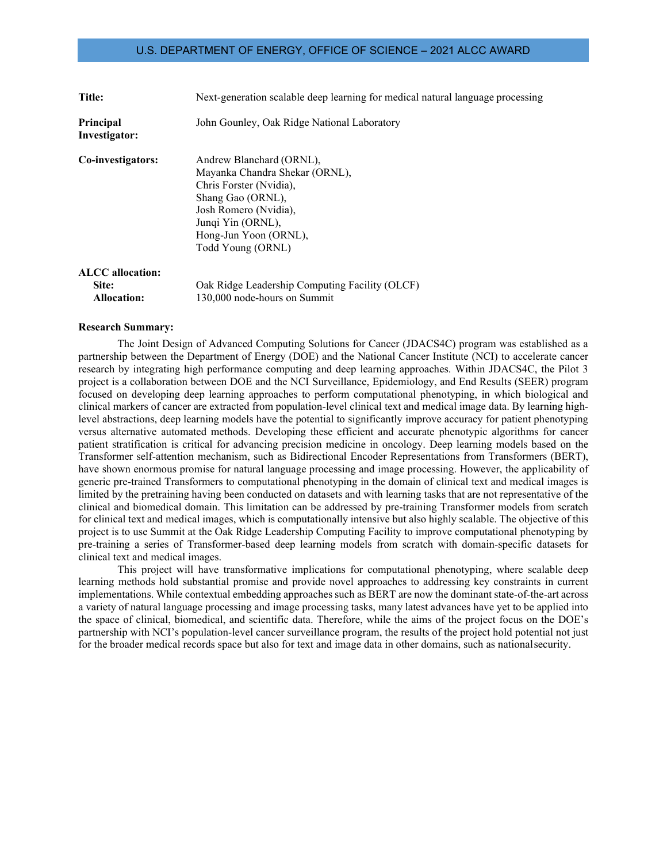| Title:                                                 | Next-generation scalable deep learning for medical natural language processing                                                                                                                         |
|--------------------------------------------------------|--------------------------------------------------------------------------------------------------------------------------------------------------------------------------------------------------------|
| Principal<br>Investigator:                             | John Gounley, Oak Ridge National Laboratory                                                                                                                                                            |
| Co-investigators:                                      | Andrew Blanchard (ORNL),<br>Mayanka Chandra Shekar (ORNL),<br>Chris Forster (Nvidia),<br>Shang Gao (ORNL),<br>Josh Romero (Nvidia),<br>Junqi Yin (ORNL),<br>Hong-Jun Yoon (ORNL),<br>Todd Young (ORNL) |
| <b>ALCC</b> allocation:<br>Site:<br><b>Allocation:</b> | Oak Ridge Leadership Computing Facility (OLCF)<br>130,000 node-hours on Summit                                                                                                                         |

#### **Research Summary:**

The Joint Design of Advanced Computing Solutions for Cancer (JDACS4C) program was established as a partnership between the Department of Energy (DOE) and the National Cancer Institute (NCI) to accelerate cancer research by integrating high performance computing and deep learning approaches. Within JDACS4C, the Pilot 3 project is a collaboration between DOE and the NCI Surveillance, Epidemiology, and End Results (SEER) program focused on developing deep learning approaches to perform computational phenotyping, in which biological and clinical markers of cancer are extracted from population-level clinical text and medical image data. By learning highlevel abstractions, deep learning models have the potential to significantly improve accuracy for patient phenotyping versus alternative automated methods. Developing these efficient and accurate phenotypic algorithms for cancer patient stratification is critical for advancing precision medicine in oncology. Deep learning models based on the Transformer self-attention mechanism, such as Bidirectional Encoder Representations from Transformers (BERT), have shown enormous promise for natural language processing and image processing. However, the applicability of generic pre-trained Transformers to computational phenotyping in the domain of clinical text and medical images is limited by the pretraining having been conducted on datasets and with learning tasks that are not representative of the clinical and biomedical domain. This limitation can be addressed by pre-training Transformer models from scratch for clinical text and medical images, which is computationally intensive but also highly scalable. The objective of this project is to use Summit at the Oak Ridge Leadership Computing Facility to improve computational phenotyping by pre-training a series of Transformer-based deep learning models from scratch with domain-specific datasets for clinical text and medical images.

This project will have transformative implications for computational phenotyping, where scalable deep learning methods hold substantial promise and provide novel approaches to addressing key constraints in current implementations. While contextual embedding approaches such as BERT are now the dominant state-of-the-art across a variety of natural language processing and image processing tasks, many latest advances have yet to be applied into the space of clinical, biomedical, and scientific data. Therefore, while the aims of the project focus on the DOE's partnership with NCI's population-level cancer surveillance program, the results of the project hold potential not just for the broader medical records space but also for text and image data in other domains, such as nationalsecurity.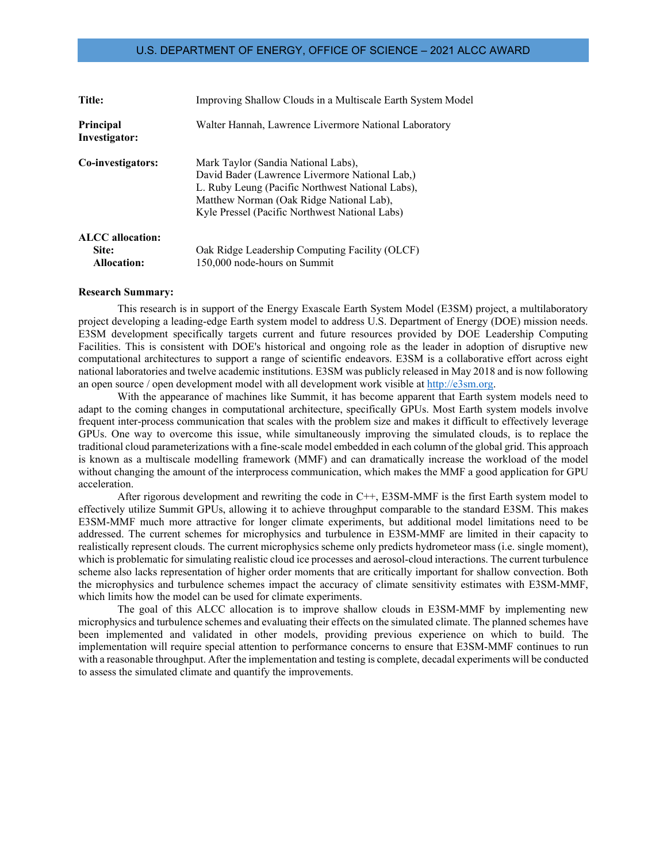| <b>Title:</b>              | Improving Shallow Clouds in a Multiscale Earth System Model                                                                                                                                                                             |
|----------------------------|-----------------------------------------------------------------------------------------------------------------------------------------------------------------------------------------------------------------------------------------|
| Principal<br>Investigator: | Walter Hannah, Lawrence Livermore National Laboratory                                                                                                                                                                                   |
| Co-investigators:          | Mark Taylor (Sandia National Labs),<br>David Bader (Lawrence Livermore National Lab,)<br>L. Ruby Leung (Pacific Northwest National Labs),<br>Matthew Norman (Oak Ridge National Lab),<br>Kyle Pressel (Pacific Northwest National Labs) |
| <b>ALCC</b> allocation:    |                                                                                                                                                                                                                                         |
| Site:                      | Oak Ridge Leadership Computing Facility (OLCF)                                                                                                                                                                                          |
| <b>Allocation:</b>         | 150,000 node-hours on Summit                                                                                                                                                                                                            |

#### **Research Summary:**

This research is in support of the Energy Exascale Earth System Model (E3SM) project, a multilaboratory project developing a leading-edge Earth system model to address U.S. Department of Energy (DOE) mission needs. E3SM development specifically targets current and future resources provided by DOE Leadership Computing Facilities. This is consistent with DOE's historical and ongoing role as the leader in adoption of disruptive new computational architectures to support a range of scientific endeavors. E3SM is a collaborative effort across eight national laboratories and twelve academic institutions. E3SM was publicly released in May 2018 and is now following an open source / open development model with all development work visible at [http://e3sm.org.](http://e3sm.org/)

With the appearance of machines like Summit, it has become apparent that Earth system models need to adapt to the coming changes in computational architecture, specifically GPUs. Most Earth system models involve frequent inter-process communication that scales with the problem size and makes it difficult to effectively leverage GPUs. One way to overcome this issue, while simultaneously improving the simulated clouds, is to replace the traditional cloud parameterizations with a fine-scale model embedded in each column of the global grid. This approach is known as a multiscale modelling framework (MMF) and can dramatically increase the workload of the model without changing the amount of the interprocess communication, which makes the MMF a good application for GPU acceleration.

After rigorous development and rewriting the code in C++, E3SM-MMF is the first Earth system model to effectively utilize Summit GPUs, allowing it to achieve throughput comparable to the standard E3SM. This makes E3SM-MMF much more attractive for longer climate experiments, but additional model limitations need to be addressed. The current schemes for microphysics and turbulence in E3SM-MMF are limited in their capacity to realistically represent clouds. The current microphysics scheme only predicts hydrometeor mass (i.e. single moment), which is problematic for simulating realistic cloud ice processes and aerosol-cloud interactions. The current turbulence scheme also lacks representation of higher order moments that are critically important for shallow convection. Both the microphysics and turbulence schemes impact the accuracy of climate sensitivity estimates with E3SM-MMF, which limits how the model can be used for climate experiments.

The goal of this ALCC allocation is to improve shallow clouds in E3SM-MMF by implementing new microphysics and turbulence schemes and evaluating their effects on the simulated climate. The planned schemes have been implemented and validated in other models, providing previous experience on which to build. The implementation will require special attention to performance concerns to ensure that E3SM-MMF continues to run with a reasonable throughput. After the implementation and testing is complete, decadal experiments will be conducted to assess the simulated climate and quantify the improvements.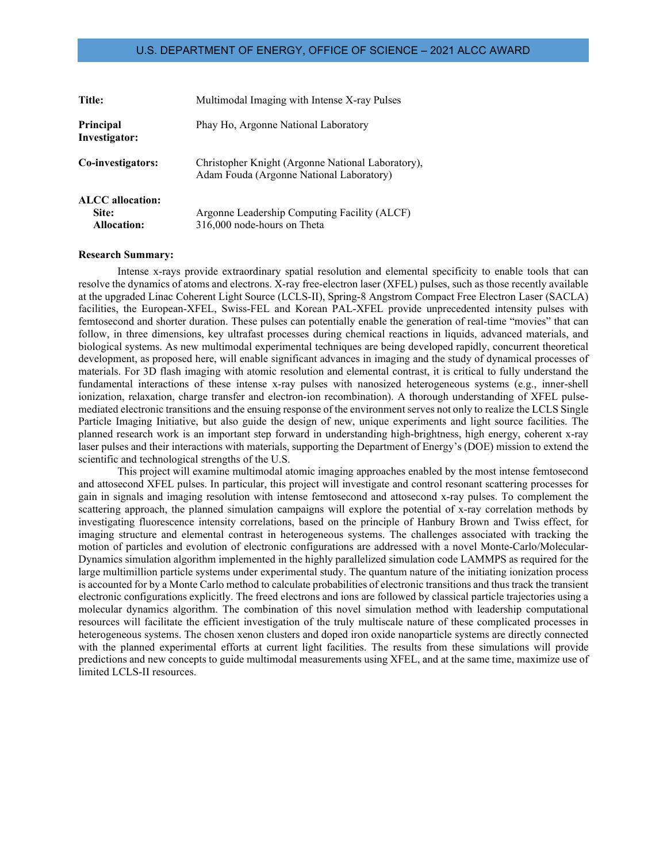| <b>Title:</b>                     | Multimodal Imaging with Intense X-ray Pulses                                                  |
|-----------------------------------|-----------------------------------------------------------------------------------------------|
| <b>Principal</b><br>Investigator: | Phay Ho, Argonne National Laboratory                                                          |
| Co-investigators:                 | Christopher Knight (Argonne National Laboratory),<br>Adam Fouda (Argonne National Laboratory) |
| <b>ALCC</b> allocation:           |                                                                                               |
| Site:                             | Argonne Leadership Computing Facility (ALCF)                                                  |
| <b>Allocation:</b>                | 316,000 node-hours on Theta                                                                   |

#### **Research Summary:**

Intense x-rays provide extraordinary spatial resolution and elemental specificity to enable tools that can resolve the dynamics of atoms and electrons. X-ray free-electron laser (XFEL) pulses, such as those recently available at the upgraded Linac Coherent Light Source (LCLS-II), Spring-8 Angstrom Compact Free Electron Laser (SACLA) facilities, the European-XFEL, Swiss-FEL and Korean PAL-XFEL provide unprecedented intensity pulses with femtosecond and shorter duration. These pulses can potentially enable the generation of real-time "movies" that can follow, in three dimensions, key ultrafast processes during chemical reactions in liquids, advanced materials, and biological systems. As new multimodal experimental techniques are being developed rapidly, concurrent theoretical development, as proposed here, will enable significant advances in imaging and the study of dynamical processes of materials. For 3D flash imaging with atomic resolution and elemental contrast, it is critical to fully understand the fundamental interactions of these intense x-ray pulses with nanosized heterogeneous systems (e.g., inner-shell ionization, relaxation, charge transfer and electron-ion recombination). A thorough understanding of XFEL pulsemediated electronic transitions and the ensuing response of the environment serves not only to realize the LCLS Single Particle Imaging Initiative, but also guide the design of new, unique experiments and light source facilities. The planned research work is an important step forward in understanding high-brightness, high energy, coherent x-ray laser pulses and their interactions with materials, supporting the Department of Energy's (DOE) mission to extend the scientific and technological strengths of the U.S.

This project will examine multimodal atomic imaging approaches enabled by the most intense femtosecond and attosecond XFEL pulses. In particular, this project will investigate and control resonant scattering processes for gain in signals and imaging resolution with intense femtosecond and attosecond x-ray pulses. To complement the scattering approach, the planned simulation campaigns will explore the potential of x-ray correlation methods by investigating fluorescence intensity correlations, based on the principle of Hanbury Brown and Twiss effect, for imaging structure and elemental contrast in heterogeneous systems. The challenges associated with tracking the motion of particles and evolution of electronic configurations are addressed with a novel Monte-Carlo/Molecular-Dynamics simulation algorithm implemented in the highly parallelized simulation code LAMMPS as required for the large multimillion particle systems under experimental study. The quantum nature of the initiating ionization process is accounted for by a Monte Carlo method to calculate probabilities of electronic transitions and thus track the transient electronic configurations explicitly. The freed electrons and ions are followed by classical particle trajectories using a molecular dynamics algorithm. The combination of this novel simulation method with leadership computational resources will facilitate the efficient investigation of the truly multiscale nature of these complicated processes in heterogeneous systems. The chosen xenon clusters and doped iron oxide nanoparticle systems are directly connected with the planned experimental efforts at current light facilities. The results from these simulations will provide predictions and new concepts to guide multimodal measurements using XFEL, and at the same time, maximize use of limited LCLS-II resources.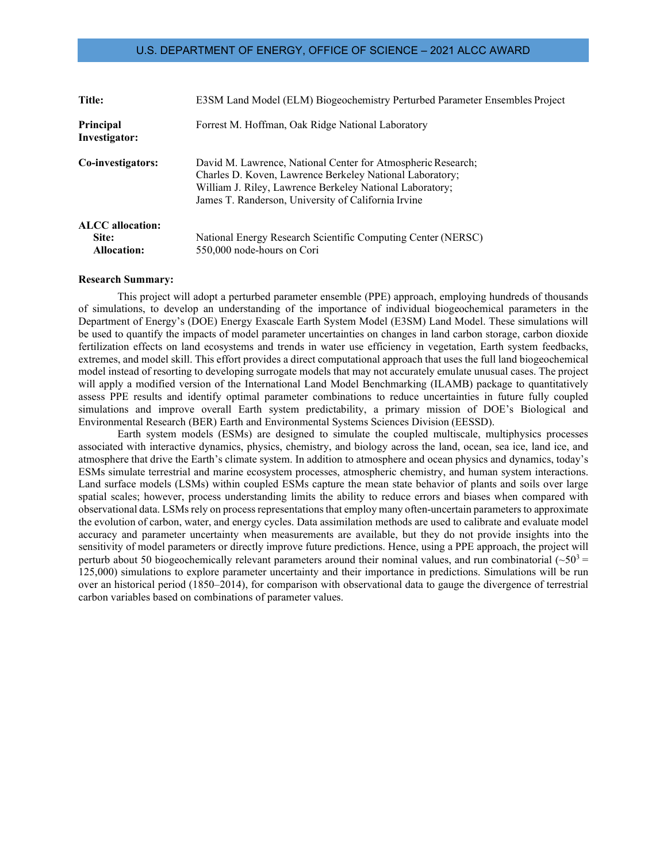| Title:                            | E3SM Land Model (ELM) Biogeochemistry Perturbed Parameter Ensembles Project                                                                                                                                                                 |
|-----------------------------------|---------------------------------------------------------------------------------------------------------------------------------------------------------------------------------------------------------------------------------------------|
| <b>Principal</b><br>Investigator: | Forrest M. Hoffman, Oak Ridge National Laboratory                                                                                                                                                                                           |
| Co-investigators:                 | David M. Lawrence, National Center for Atmospheric Research;<br>Charles D. Koven, Lawrence Berkeley National Laboratory;<br>William J. Riley, Lawrence Berkeley National Laboratory;<br>James T. Randerson, University of California Irvine |
| <b>ALCC</b> allocation:           |                                                                                                                                                                                                                                             |
| Site:                             | National Energy Research Scientific Computing Center (NERSC)                                                                                                                                                                                |
| <b>Allocation:</b>                | 550,000 node-hours on Cori                                                                                                                                                                                                                  |

#### **Research Summary:**

This project will adopt a perturbed parameter ensemble (PPE) approach, employing hundreds of thousands of simulations, to develop an understanding of the importance of individual biogeochemical parameters in the Department of Energy's (DOE) Energy Exascale Earth System Model (E3SM) Land Model. These simulations will be used to quantify the impacts of model parameter uncertainties on changes in land carbon storage, carbon dioxide fertilization effects on land ecosystems and trends in water use efficiency in vegetation, Earth system feedbacks, extremes, and model skill. This effort provides a direct computational approach that uses the full land biogeochemical model instead of resorting to developing surrogate models that may not accurately emulate unusual cases. The project will apply a modified version of the International Land Model Benchmarking (ILAMB) package to quantitatively assess PPE results and identify optimal parameter combinations to reduce uncertainties in future fully coupled simulations and improve overall Earth system predictability, a primary mission of DOE's Biological and Environmental Research (BER) Earth and Environmental Systems Sciences Division (EESSD).

Earth system models (ESMs) are designed to simulate the coupled multiscale, multiphysics processes associated with interactive dynamics, physics, chemistry, and biology across the land, ocean, sea ice, land ice, and atmosphere that drive the Earth's climate system. In addition to atmosphere and ocean physics and dynamics, today's ESMs simulate terrestrial and marine ecosystem processes, atmospheric chemistry, and human system interactions. Land surface models (LSMs) within coupled ESMs capture the mean state behavior of plants and soils over large spatial scales; however, process understanding limits the ability to reduce errors and biases when compared with observational data. LSMs rely on process representations that employ many often-uncertain parameters to approximate the evolution of carbon, water, and energy cycles. Data assimilation methods are used to calibrate and evaluate model accuracy and parameter uncertainty when measurements are available, but they do not provide insights into the sensitivity of model parameters or directly improve future predictions. Hence, using a PPE approach, the project will perturb about 50 biogeochemically relevant parameters around their nominal values, and run combinatorial  $(\sim 50^3$  = 125,000) simulations to explore parameter uncertainty and their importance in predictions. Simulations will be run over an historical period (1850–2014), for comparison with observational data to gauge the divergence of terrestrial carbon variables based on combinations of parameter values.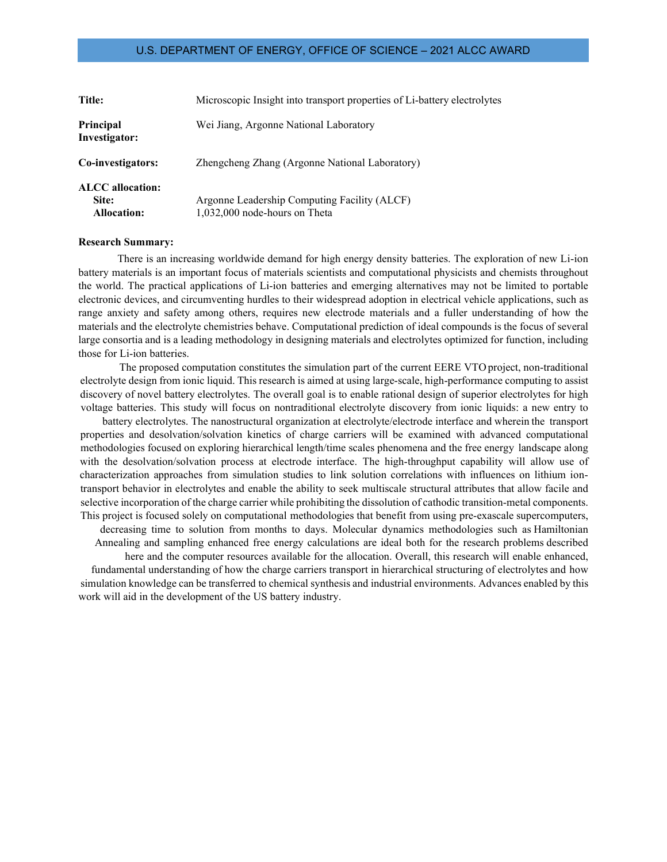| Title:                                                 | Microscopic Insight into transport properties of Li-battery electrolytes      |
|--------------------------------------------------------|-------------------------------------------------------------------------------|
| Principal<br>Investigator:                             | Wei Jiang, Argonne National Laboratory                                        |
| Co-investigators:                                      | Zhengcheng Zhang (Argonne National Laboratory)                                |
| <b>ALCC</b> allocation:<br>Site:<br><b>Allocation:</b> | Argonne Leadership Computing Facility (ALCF)<br>1,032,000 node-hours on Theta |

#### **Research Summary:**

There is an increasing worldwide demand for high energy density batteries. The exploration of new Li-ion battery materials is an important focus of materials scientists and computational physicists and chemists throughout the world. The practical applications of Li-ion batteries and emerging alternatives may not be limited to portable electronic devices, and circumventing hurdles to their widespread adoption in electrical vehicle applications, such as range anxiety and safety among others, requires new electrode materials and a fuller understanding of how the materials and the electrolyte chemistries behave. Computational prediction of ideal compounds is the focus of several large consortia and is a leading methodology in designing materials and electrolytes optimized for function, including those for Li-ion batteries.

The proposed computation constitutes the simulation part of the current EERE VTO project, non-traditional electrolyte design from ionic liquid. This research is aimed at using large-scale, high-performance computing to assist discovery of novel battery electrolytes. The overall goal is to enable rational design of superior electrolytes for high voltage batteries. This study will focus on nontraditional electrolyte discovery from ionic liquids: a new entry to

battery electrolytes. The nanostructural organization at electrolyte/electrode interface and wherein the transport properties and desolvation/solvation kinetics of charge carriers will be examined with advanced computational methodologies focused on exploring hierarchical length/time scales phenomena and the free energy landscape along with the desolvation/solvation process at electrode interface. The high-throughput capability will allow use of characterization approaches from simulation studies to link solution correlations with influences on lithium iontransport behavior in electrolytes and enable the ability to seek multiscale structural attributes that allow facile and selective incorporation of the charge carrier while prohibiting the dissolution of cathodic transition-metal components. This project is focused solely on computational methodologies that benefit from using pre-exascale supercomputers, decreasing time to solution from months to days. Molecular dynamics methodologies such as Hamiltonian Annealing and sampling enhanced free energy calculations are ideal both for the research problems described here and the computer resources available for the allocation. Overall, this research will enable enhanced, fundamental understanding of how the charge carriers transport in hierarchical structuring of electrolytes and how

simulation knowledge can be transferred to chemical synthesis and industrial environments. Advances enabled by this work will aid in the development of the US battery industry.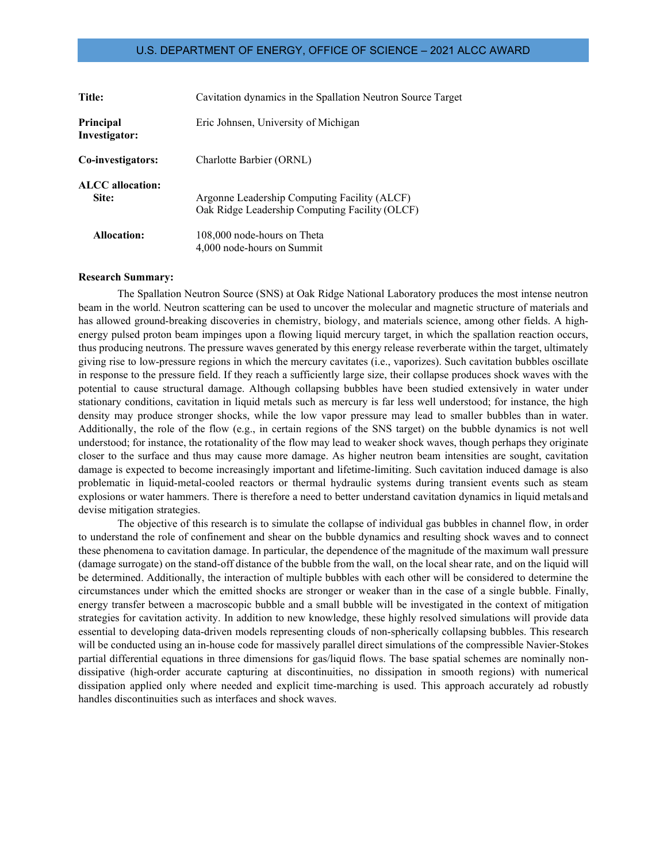| <b>Title:</b>              | Cavitation dynamics in the Spallation Neutron Source Target                                    |
|----------------------------|------------------------------------------------------------------------------------------------|
| Principal<br>Investigator: | Eric Johnsen, University of Michigan                                                           |
| Co-investigators:          | Charlotte Barbier (ORNL)                                                                       |
| ALCC allocation:<br>Site:  | Argonne Leadership Computing Facility (ALCF)<br>Oak Ridge Leadership Computing Facility (OLCF) |
| Allocation:                | 108,000 node-hours on Theta<br>4,000 node-hours on Summit                                      |

#### **Research Summary:**

The Spallation Neutron Source (SNS) at Oak Ridge National Laboratory produces the most intense neutron beam in the world. Neutron scattering can be used to uncover the molecular and magnetic structure of materials and has allowed ground-breaking discoveries in chemistry, biology, and materials science, among other fields. A highenergy pulsed proton beam impinges upon a flowing liquid mercury target, in which the spallation reaction occurs, thus producing neutrons. The pressure waves generated by this energy release reverberate within the target, ultimately giving rise to low-pressure regions in which the mercury cavitates (i.e., vaporizes). Such cavitation bubbles oscillate in response to the pressure field. If they reach a sufficiently large size, their collapse produces shock waves with the potential to cause structural damage. Although collapsing bubbles have been studied extensively in water under stationary conditions, cavitation in liquid metals such as mercury is far less well understood; for instance, the high density may produce stronger shocks, while the low vapor pressure may lead to smaller bubbles than in water. Additionally, the role of the flow (e.g., in certain regions of the SNS target) on the bubble dynamics is not well understood; for instance, the rotationality of the flow may lead to weaker shock waves, though perhaps they originate closer to the surface and thus may cause more damage. As higher neutron beam intensities are sought, cavitation damage is expected to become increasingly important and lifetime-limiting. Such cavitation induced damage is also problematic in liquid-metal-cooled reactors or thermal hydraulic systems during transient events such as steam explosions or water hammers. There is therefore a need to better understand cavitation dynamics in liquid metalsand devise mitigation strategies.

The objective of this research is to simulate the collapse of individual gas bubbles in channel flow, in order to understand the role of confinement and shear on the bubble dynamics and resulting shock waves and to connect these phenomena to cavitation damage. In particular, the dependence of the magnitude of the maximum wall pressure (damage surrogate) on the stand-off distance of the bubble from the wall, on the local shear rate, and on the liquid will be determined. Additionally, the interaction of multiple bubbles with each other will be considered to determine the circumstances under which the emitted shocks are stronger or weaker than in the case of a single bubble. Finally, energy transfer between a macroscopic bubble and a small bubble will be investigated in the context of mitigation strategies for cavitation activity. In addition to new knowledge, these highly resolved simulations will provide data essential to developing data-driven models representing clouds of non-spherically collapsing bubbles. This research will be conducted using an in-house code for massively parallel direct simulations of the compressible Navier-Stokes partial differential equations in three dimensions for gas/liquid flows. The base spatial schemes are nominally nondissipative (high-order accurate capturing at discontinuities, no dissipation in smooth regions) with numerical dissipation applied only where needed and explicit time-marching is used. This approach accurately ad robustly handles discontinuities such as interfaces and shock waves.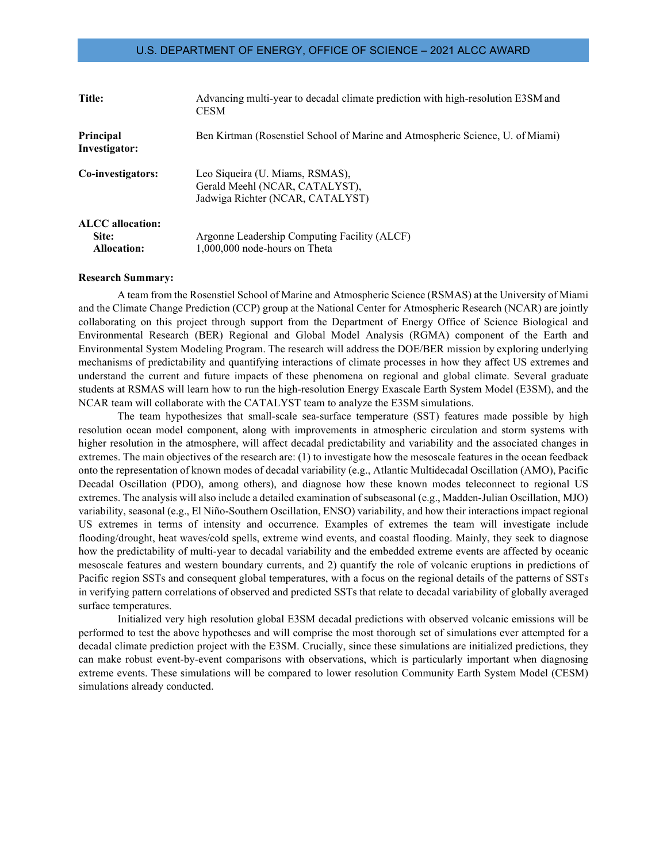| Title:                                          | Advancing multi-year to decadal climate prediction with high-resolution E3SM and<br><b>CESM</b>       |
|-------------------------------------------------|-------------------------------------------------------------------------------------------------------|
| Principal<br>Investigator:                      | Ben Kirtman (Rosenstiel School of Marine and Atmospheric Science, U. of Miami)                        |
| Co-investigators:                               | Leo Siqueira (U. Miams, RSMAS),<br>Gerald Meehl (NCAR, CATALYST),<br>Jadwiga Richter (NCAR, CATALYST) |
| ALCC allocation:<br>Site:<br><b>Allocation:</b> | Argonne Leadership Computing Facility (ALCF)<br>1,000,000 node-hours on Theta                         |

#### **Research Summary:**

A team from the Rosenstiel School of Marine and Atmospheric Science (RSMAS) at the University of Miami and the Climate Change Prediction (CCP) group at the National Center for Atmospheric Research (NCAR) are jointly collaborating on this project through support from the Department of Energy Office of Science Biological and Environmental Research (BER) Regional and Global Model Analysis (RGMA) component of the Earth and Environmental System Modeling Program. The research will address the DOE/BER mission by exploring underlying mechanisms of predictability and quantifying interactions of climate processes in how they affect US extremes and understand the current and future impacts of these phenomena on regional and global climate. Several graduate students at RSMAS will learn how to run the high-resolution Energy Exascale Earth System Model (E3SM), and the NCAR team will collaborate with the CATALYST team to analyze the E3SM simulations.

The team hypothesizes that small-scale sea-surface temperature (SST) features made possible by high resolution ocean model component, along with improvements in atmospheric circulation and storm systems with higher resolution in the atmosphere, will affect decadal predictability and variability and the associated changes in extremes. The main objectives of the research are: (1) to investigate how the mesoscale features in the ocean feedback onto the representation of known modes of decadal variability (e.g., Atlantic Multidecadal Oscillation (AMO), Pacific Decadal Oscillation (PDO), among others), and diagnose how these known modes teleconnect to regional US extremes. The analysis will also include a detailed examination of subseasonal (e.g., Madden-Julian Oscillation, MJO) variability, seasonal (e.g., El Niño-Southern Oscillation, ENSO) variability, and how their interactionsimpact regional US extremes in terms of intensity and occurrence. Examples of extremes the team will investigate include flooding/drought, heat waves/cold spells, extreme wind events, and coastal flooding. Mainly, they seek to diagnose how the predictability of multi-year to decadal variability and the embedded extreme events are affected by oceanic mesoscale features and western boundary currents, and 2) quantify the role of volcanic eruptions in predictions of Pacific region SSTs and consequent global temperatures, with a focus on the regional details of the patterns of SSTs in verifying pattern correlations of observed and predicted SSTs that relate to decadal variability of globally averaged surface temperatures.

Initialized very high resolution global E3SM decadal predictions with observed volcanic emissions will be performed to test the above hypotheses and will comprise the most thorough set of simulations ever attempted for a decadal climate prediction project with the E3SM. Crucially, since these simulations are initialized predictions, they can make robust event-by-event comparisons with observations, which is particularly important when diagnosing extreme events. These simulations will be compared to lower resolution Community Earth System Model (CESM) simulations already conducted.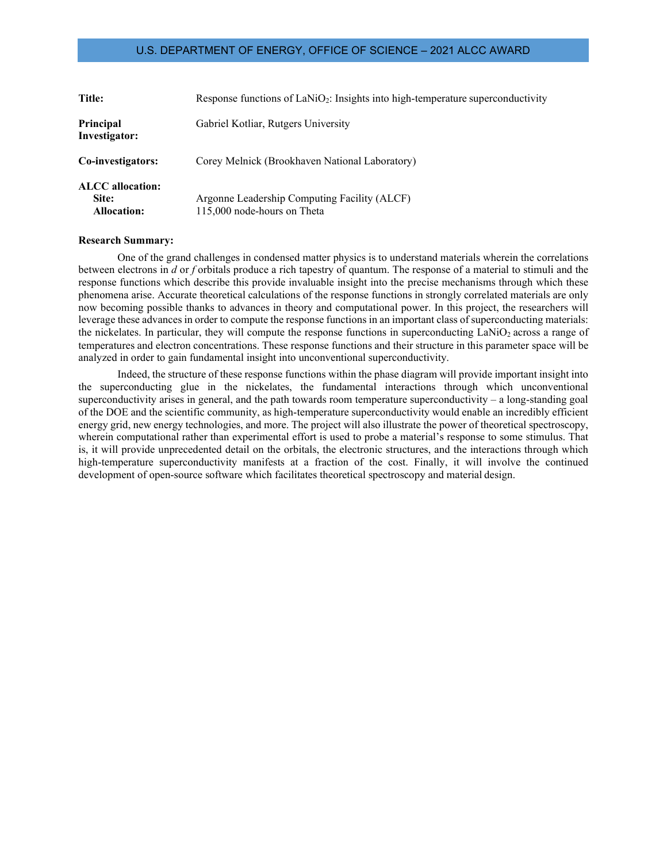| <b>Title:</b>                                          | Response functions of $\text{LaNiO}_2$ : Insights into high-temperature superconductivity |
|--------------------------------------------------------|-------------------------------------------------------------------------------------------|
| Principal<br>Investigator:                             | Gabriel Kotliar, Rutgers University                                                       |
| Co-investigators:                                      | Corey Melnick (Brookhaven National Laboratory)                                            |
| <b>ALCC</b> allocation:<br>Site:<br><b>Allocation:</b> | Argonne Leadership Computing Facility (ALCF)<br>115,000 node-hours on Theta               |

#### **Research Summary:**

One of the grand challenges in condensed matter physics is to understand materials wherein the correlations between electrons in *d* or *f* orbitals produce a rich tapestry of quantum. The response of a material to stimuli and the response functions which describe this provide invaluable insight into the precise mechanisms through which these phenomena arise. Accurate theoretical calculations of the response functions in strongly correlated materials are only now becoming possible thanks to advances in theory and computational power. In this project, the researchers will leverage these advances in order to compute the response functions in an important class of superconducting materials: the nickelates. In particular, they will compute the response functions in superconducting  $\text{LANiO}_2$  across a range of temperatures and electron concentrations. These response functions and their structure in this parameter space will be analyzed in order to gain fundamental insight into unconventional superconductivity.

Indeed, the structure of these response functions within the phase diagram will provide important insight into the superconducting glue in the nickelates, the fundamental interactions through which unconventional superconductivity arises in general, and the path towards room temperature superconductivity  $-$  a long-standing goal of the DOE and the scientific community, as high-temperature superconductivity would enable an incredibly efficient energy grid, new energy technologies, and more. The project will also illustrate the power of theoretical spectroscopy, wherein computational rather than experimental effort is used to probe a material's response to some stimulus. That is, it will provide unprecedented detail on the orbitals, the electronic structures, and the interactions through which high-temperature superconductivity manifests at a fraction of the cost. Finally, it will involve the continued development of open-source software which facilitates theoretical spectroscopy and material design.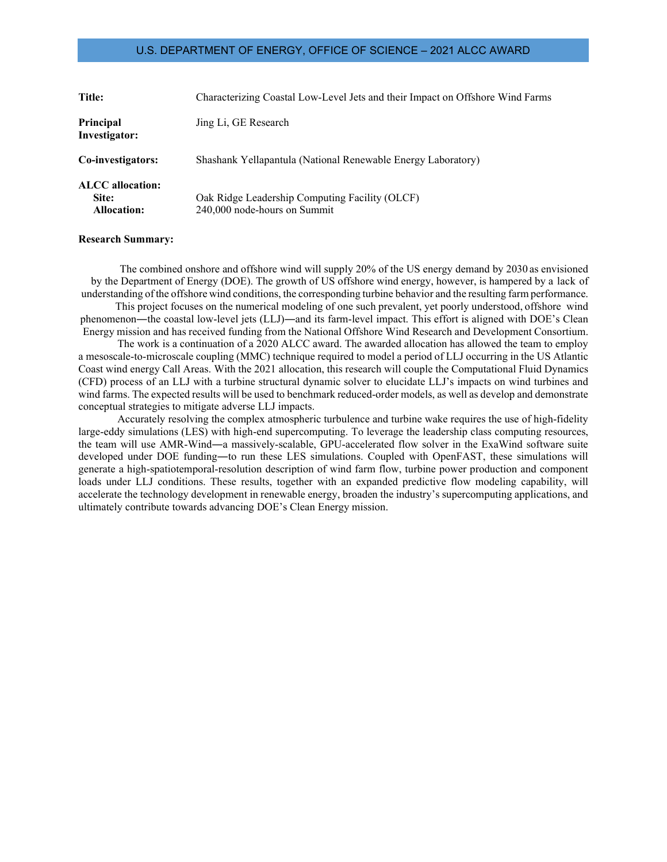| Title:                                                 | Characterizing Coastal Low-Level Jets and their Impact on Offshore Wind Farms  |
|--------------------------------------------------------|--------------------------------------------------------------------------------|
| Principal<br>Investigator:                             | Jing Li, GE Research                                                           |
| Co-investigators:                                      | Shashank Yellapantula (National Renewable Energy Laboratory)                   |
| <b>ALCC</b> allocation:<br>Site:<br><b>Allocation:</b> | Oak Ridge Leadership Computing Facility (OLCF)<br>240,000 node-hours on Summit |

### **Research Summary:**

The combined onshore and offshore wind will supply 20% of the US energy demand by 2030 as envisioned by the Department of Energy (DOE). The growth of US offshore wind energy, however, is hampered by a lack of understanding of the offshore wind conditions, the corresponding turbine behavior and the resulting farm performance.

This project focuses on the numerical modeling of one such prevalent, yet poorly understood, offshore wind phenomenon―the coastal low-level jets (LLJ)―and its farm-level impact. This effort is aligned with DOE's Clean Energy mission and has received funding from the National Offshore Wind Research and Development Consortium.

The work is a continuation of a 2020 ALCC award. The awarded allocation has allowed the team to employ a mesoscale-to-microscale coupling (MMC) technique required to model a period of LLJ occurring in the US Atlantic Coast wind energy Call Areas. With the 2021 allocation, this research will couple the Computational Fluid Dynamics (CFD) process of an LLJ with a turbine structural dynamic solver to elucidate LLJ's impacts on wind turbines and wind farms. The expected results will be used to benchmark reduced-order models, as well as develop and demonstrate conceptual strategies to mitigate adverse LLJ impacts.

Accurately resolving the complex atmospheric turbulence and turbine wake requires the use of high-fidelity large-eddy simulations (LES) with high-end supercomputing. To leverage the leadership class computing resources, the team will use AMR-Wind―a massively-scalable, GPU-accelerated flow solver in the ExaWind software suite developed under DOE funding―to run these LES simulations. Coupled with OpenFAST, these simulations will generate a high-spatiotemporal-resolution description of wind farm flow, turbine power production and component loads under LLJ conditions. These results, together with an expanded predictive flow modeling capability, will accelerate the technology development in renewable energy, broaden the industry's supercomputing applications, and ultimately contribute towards advancing DOE's Clean Energy mission.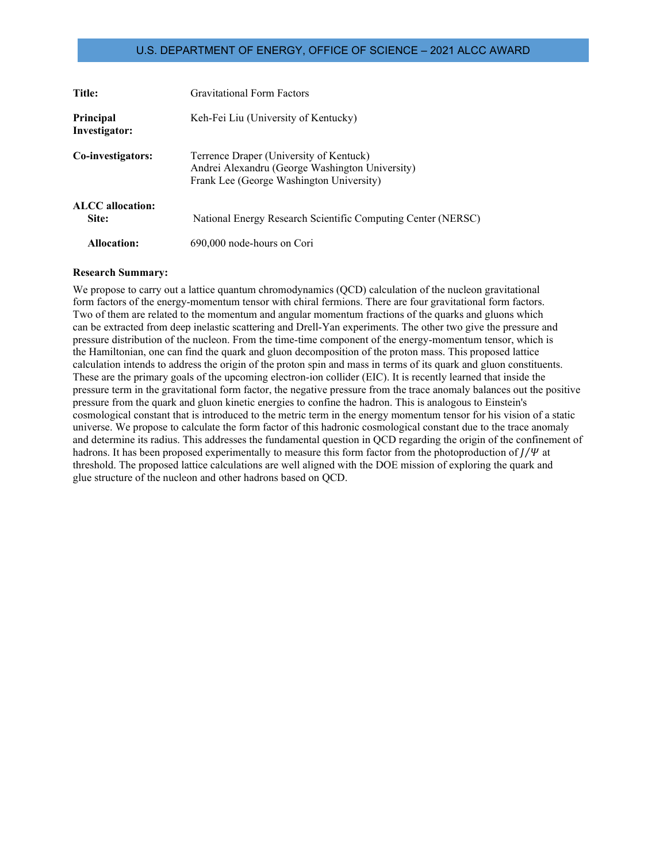| <b>Title:</b>              | Gravitational Form Factors                                                                                                             |
|----------------------------|----------------------------------------------------------------------------------------------------------------------------------------|
| Principal<br>Investigator: | Keh-Fei Liu (University of Kentucky)                                                                                                   |
| Co-investigators:          | Terrence Draper (University of Kentuck)<br>Andrei Alexandru (George Washington University)<br>Frank Lee (George Washington University) |
| ALCC allocation:<br>Site:  | National Energy Research Scientific Computing Center (NERSC)                                                                           |
| Allocation:                | 690,000 node-hours on Cori                                                                                                             |

#### **Research Summary:**

We propose to carry out a lattice quantum chromodynamics (QCD) calculation of the nucleon gravitational form factors of the energy-momentum tensor with chiral fermions. There are four gravitational form factors. Two of them are related to the momentum and angular momentum fractions of the quarks and gluons which can be extracted from deep inelastic scattering and Drell-Yan experiments. The other two give the pressure and pressure distribution of the nucleon. From the time-time component of the energy-momentum tensor, which is the Hamiltonian, one can find the quark and gluon decomposition of the proton mass. This proposed lattice calculation intends to address the origin of the proton spin and mass in terms of its quark and gluon constituents. These are the primary goals of the upcoming electron-ion collider (EIC). It is recently learned that inside the pressure term in the gravitational form factor, the negative pressure from the trace anomaly balances out the positive pressure from the quark and gluon kinetic energies to confine the hadron. This is analogous to Einstein's cosmological constant that is introduced to the metric term in the energy momentum tensor for his vision of a static universe. We propose to calculate the form factor of this hadronic cosmological constant due to the trace anomaly and determine its radius. This addresses the fundamental question in QCD regarding the origin of the confinement of hadrons. It has been proposed experimentally to measure this form factor from the photoproduction of  $J/\Psi$  at threshold. The proposed lattice calculations are well aligned with the DOE mission of exploring the quark and glue structure of the nucleon and other hadrons based on QCD.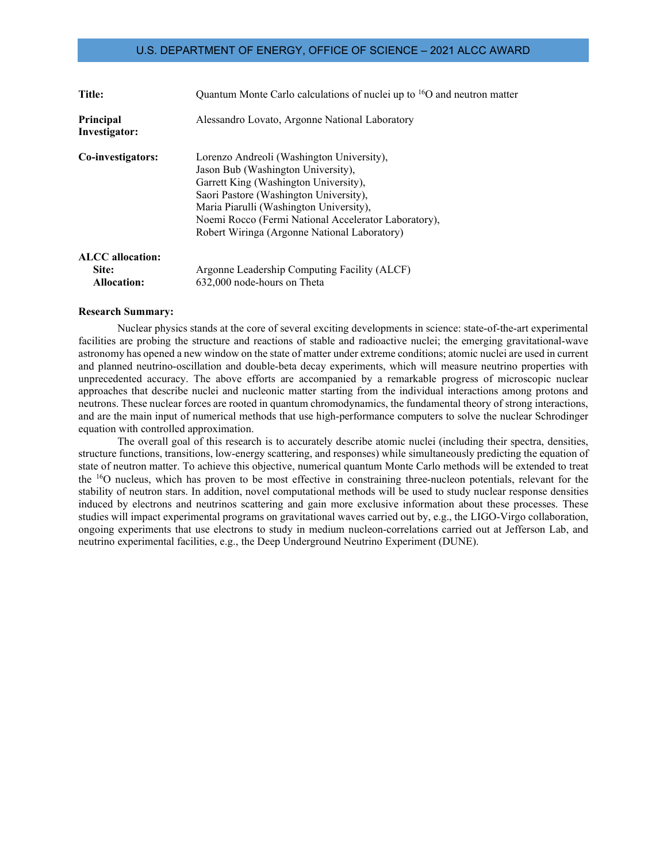| Title:                                                 | Quantum Monte Carlo calculations of nuclei up to <sup>16</sup> O and neutron matter                                                                                                                                                                                                                                   |
|--------------------------------------------------------|-----------------------------------------------------------------------------------------------------------------------------------------------------------------------------------------------------------------------------------------------------------------------------------------------------------------------|
| <b>Principal</b><br>Investigator:                      | Alessandro Lovato, Argonne National Laboratory                                                                                                                                                                                                                                                                        |
| Co-investigators:                                      | Lorenzo Andreoli (Washington University),<br>Jason Bub (Washington University),<br>Garrett King (Washington University),<br>Saori Pastore (Washington University),<br>Maria Piarulli (Washington University),<br>Noemi Rocco (Fermi National Accelerator Laboratory),<br>Robert Wiringa (Argonne National Laboratory) |
| <b>ALCC</b> allocation:<br>Site:<br><b>Allocation:</b> | Argonne Leadership Computing Facility (ALCF)<br>632,000 node-hours on Theta                                                                                                                                                                                                                                           |

#### **Research Summary:**

Nuclear physics stands at the core of several exciting developments in science: state-of-the-art experimental facilities are probing the structure and reactions of stable and radioactive nuclei; the emerging gravitational-wave astronomy has opened a new window on the state of matter under extreme conditions; atomic nuclei are used in current and planned neutrino-oscillation and double-beta decay experiments, which will measure neutrino properties with unprecedented accuracy. The above efforts are accompanied by a remarkable progress of microscopic nuclear approaches that describe nuclei and nucleonic matter starting from the individual interactions among protons and neutrons. These nuclear forces are rooted in quantum chromodynamics, the fundamental theory of strong interactions, and are the main input of numerical methods that use high-performance computers to solve the nuclear Schrodinger equation with controlled approximation.

The overall goal of this research is to accurately describe atomic nuclei (including their spectra, densities, structure functions, transitions, low-energy scattering, and responses) while simultaneously predicting the equation of state of neutron matter. To achieve this objective, numerical quantum Monte Carlo methods will be extended to treat the <sup>16</sup>O nucleus, which has proven to be most effective in constraining three-nucleon potentials, relevant for the stability of neutron stars. In addition, novel computational methods will be used to study nuclear response densities induced by electrons and neutrinos scattering and gain more exclusive information about these processes. These studies will impact experimental programs on gravitational waves carried out by, e.g., the LIGO-Virgo collaboration, ongoing experiments that use electrons to study in medium nucleon-correlations carried out at Jefferson Lab, and neutrino experimental facilities, e.g., the Deep Underground Neutrino Experiment (DUNE).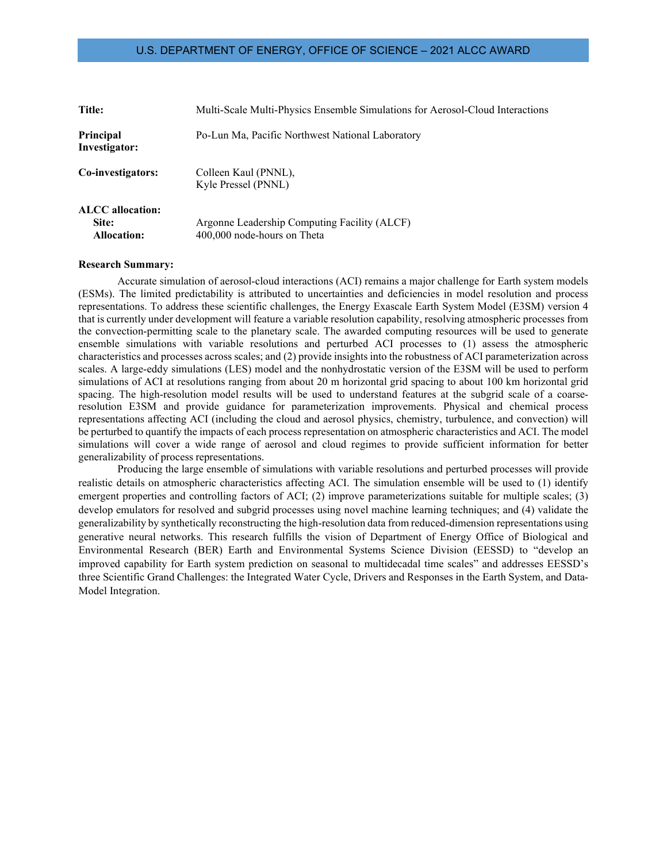| Title:                                                 | Multi-Scale Multi-Physics Ensemble Simulations for Aerosol-Cloud Interactions |
|--------------------------------------------------------|-------------------------------------------------------------------------------|
| Principal<br>Investigator:                             | Po-Lun Ma, Pacific Northwest National Laboratory                              |
| Co-investigators:                                      | Colleen Kaul (PNNL),<br>Kyle Pressel (PNNL)                                   |
| <b>ALCC</b> allocation:<br>Site:<br><b>Allocation:</b> | Argonne Leadership Computing Facility (ALCF)<br>400,000 node-hours on Theta   |

#### **Research Summary:**

Accurate simulation of aerosol-cloud interactions (ACI) remains a major challenge for Earth system models (ESMs). The limited predictability is attributed to uncertainties and deficiencies in model resolution and process representations. To address these scientific challenges, the Energy Exascale Earth System Model (E3SM) version 4 that is currently under development will feature a variable resolution capability, resolving atmospheric processes from the convection-permitting scale to the planetary scale. The awarded computing resources will be used to generate ensemble simulations with variable resolutions and perturbed ACI processes to (1) assess the atmospheric characteristics and processes across scales; and (2) provide insights into the robustness of ACI parameterization across scales. A large-eddy simulations (LES) model and the nonhydrostatic version of the E3SM will be used to perform simulations of ACI at resolutions ranging from about 20 m horizontal grid spacing to about 100 km horizontal grid spacing. The high-resolution model results will be used to understand features at the subgrid scale of a coarseresolution E3SM and provide guidance for parameterization improvements. Physical and chemical process representations affecting ACI (including the cloud and aerosol physics, chemistry, turbulence, and convection) will be perturbed to quantify the impacts of each process representation on atmospheric characteristics and ACI. The model simulations will cover a wide range of aerosol and cloud regimes to provide sufficient information for better generalizability of process representations.

Producing the large ensemble of simulations with variable resolutions and perturbed processes will provide realistic details on atmospheric characteristics affecting ACI. The simulation ensemble will be used to (1) identify emergent properties and controlling factors of ACI; (2) improve parameterizations suitable for multiple scales; (3) develop emulators for resolved and subgrid processes using novel machine learning techniques; and (4) validate the generalizability by synthetically reconstructing the high-resolution data from reduced-dimension representations using generative neural networks. This research fulfills the vision of Department of Energy Office of Biological and Environmental Research (BER) Earth and Environmental Systems Science Division (EESSD) to "develop an improved capability for Earth system prediction on seasonal to multidecadal time scales" and addresses EESSD's three Scientific Grand Challenges: the Integrated Water Cycle, Drivers and Responses in the Earth System, and Data-Model Integration.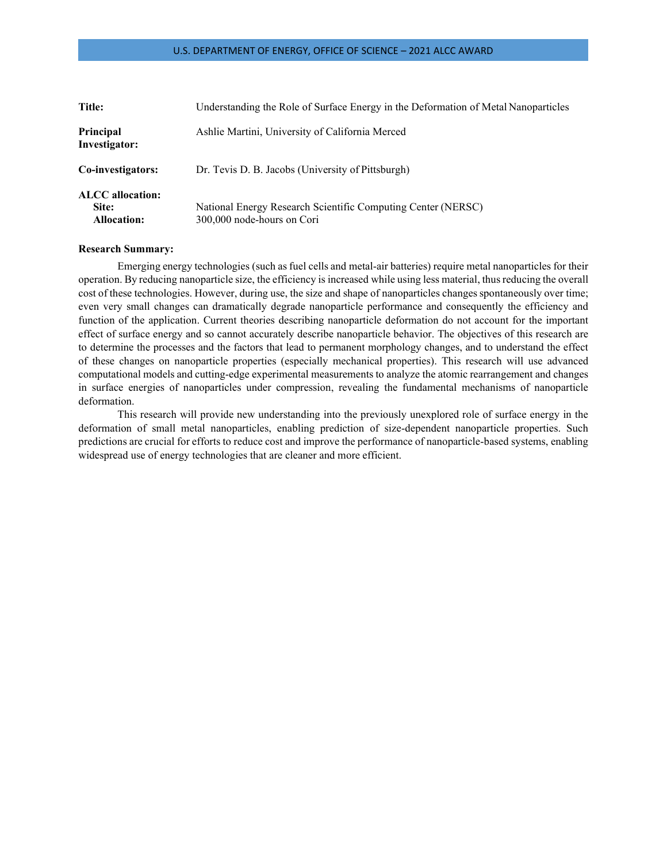| Title:                                                 | Understanding the Role of Surface Energy in the Deformation of Metal Nanoparticles         |
|--------------------------------------------------------|--------------------------------------------------------------------------------------------|
| Principal<br>Investigator:                             | Ashlie Martini, University of California Merced                                            |
| Co-investigators:                                      | Dr. Tevis D. B. Jacobs (University of Pittsburgh)                                          |
| <b>ALCC</b> allocation:<br>Site:<br><b>Allocation:</b> | National Energy Research Scientific Computing Center (NERSC)<br>300,000 node-hours on Cori |

## **Research Summary:**

Emerging energy technologies (such as fuel cells and metal-air batteries) require metal nanoparticles for their operation. By reducing nanoparticle size, the efficiency is increased while using less material, thusreducing the overall cost of these technologies. However, during use, the size and shape of nanoparticles changes spontaneously over time; even very small changes can dramatically degrade nanoparticle performance and consequently the efficiency and function of the application. Current theories describing nanoparticle deformation do not account for the important effect of surface energy and so cannot accurately describe nanoparticle behavior. The objectives of this research are to determine the processes and the factors that lead to permanent morphology changes, and to understand the effect of these changes on nanoparticle properties (especially mechanical properties). This research will use advanced computational models and cutting-edge experimental measurements to analyze the atomic rearrangement and changes in surface energies of nanoparticles under compression, revealing the fundamental mechanisms of nanoparticle deformation.

This research will provide new understanding into the previously unexplored role of surface energy in the deformation of small metal nanoparticles, enabling prediction of size-dependent nanoparticle properties. Such predictions are crucial for efforts to reduce cost and improve the performance of nanoparticle-based systems, enabling widespread use of energy technologies that are cleaner and more efficient.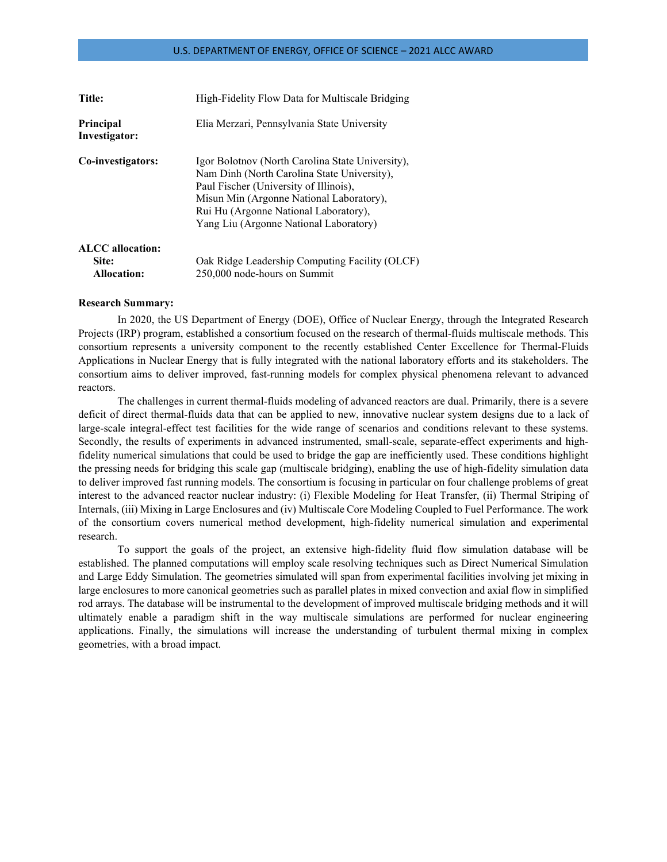| <b>Title:</b>                     | High-Fidelity Flow Data for Multiscale Bridging                                                                                                                                                                                                                          |
|-----------------------------------|--------------------------------------------------------------------------------------------------------------------------------------------------------------------------------------------------------------------------------------------------------------------------|
| <b>Principal</b><br>Investigator: | Elia Merzari, Pennsylvania State University                                                                                                                                                                                                                              |
| Co-investigators:                 | Igor Bolotnov (North Carolina State University),<br>Nam Dinh (North Carolina State University),<br>Paul Fischer (University of Illinois),<br>Misun Min (Argonne National Laboratory),<br>Rui Hu (Argonne National Laboratory),<br>Yang Liu (Argonne National Laboratory) |
| <b>ALCC</b> allocation:           |                                                                                                                                                                                                                                                                          |
| Site:                             | Oak Ridge Leadership Computing Facility (OLCF)                                                                                                                                                                                                                           |
| <b>Allocation:</b>                | 250,000 node-hours on Summit                                                                                                                                                                                                                                             |

#### **Research Summary:**

In 2020, the US Department of Energy (DOE), Office of Nuclear Energy, through the Integrated Research Projects (IRP) program, established a consortium focused on the research of thermal-fluids multiscale methods. This consortium represents a university component to the recently established Center Excellence for Thermal-Fluids Applications in Nuclear Energy that is fully integrated with the national laboratory efforts and its stakeholders. The consortium aims to deliver improved, fast-running models for complex physical phenomena relevant to advanced reactors.

The challenges in current thermal-fluids modeling of advanced reactors are dual. Primarily, there is a severe deficit of direct thermal-fluids data that can be applied to new, innovative nuclear system designs due to a lack of large-scale integral-effect test facilities for the wide range of scenarios and conditions relevant to these systems. Secondly, the results of experiments in advanced instrumented, small-scale, separate-effect experiments and highfidelity numerical simulations that could be used to bridge the gap are inefficiently used. These conditions highlight the pressing needs for bridging this scale gap (multiscale bridging), enabling the use of high-fidelity simulation data to deliver improved fast running models. The consortium is focusing in particular on four challenge problems of great interest to the advanced reactor nuclear industry: (i) Flexible Modeling for Heat Transfer, (ii) Thermal Striping of Internals, (iii) Mixing in Large Enclosures and (iv) Multiscale Core Modeling Coupled to Fuel Performance. The work of the consortium covers numerical method development, high-fidelity numerical simulation and experimental research.

To support the goals of the project, an extensive high-fidelity fluid flow simulation database will be established. The planned computations will employ scale resolving techniques such as Direct Numerical Simulation and Large Eddy Simulation. The geometries simulated will span from experimental facilities involving jet mixing in large enclosures to more canonical geometries such as parallel plates in mixed convection and axial flow in simplified rod arrays. The database will be instrumental to the development of improved multiscale bridging methods and it will ultimately enable a paradigm shift in the way multiscale simulations are performed for nuclear engineering applications. Finally, the simulations will increase the understanding of turbulent thermal mixing in complex geometries, with a broad impact.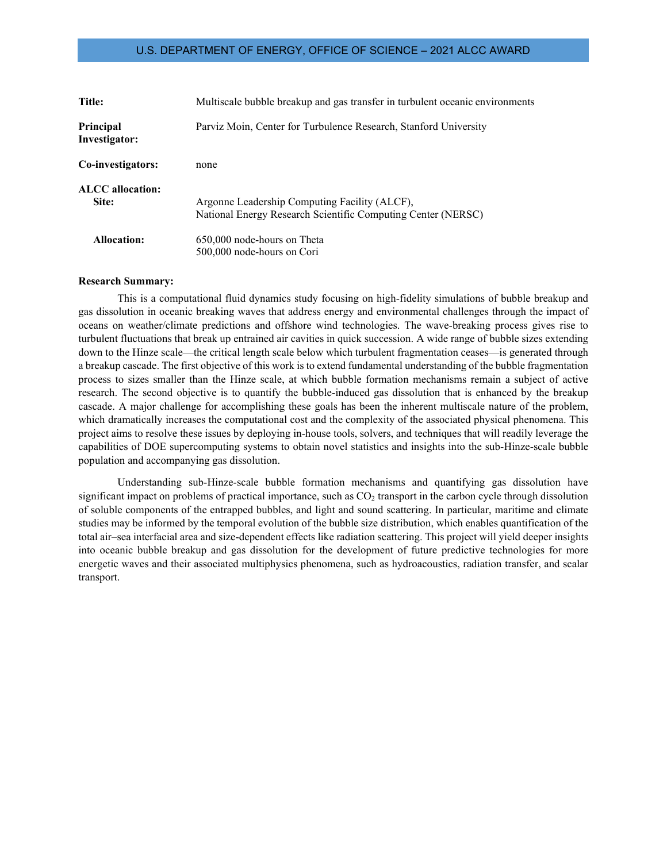| <b>Title:</b>              | Multiscale bubble breakup and gas transfer in turbulent oceanic environments                                  |
|----------------------------|---------------------------------------------------------------------------------------------------------------|
| Principal<br>Investigator: | Parviz Moin, Center for Turbulence Research, Stanford University                                              |
| Co-investigators:          | none                                                                                                          |
| ALCC allocation:<br>Site:  | Argonne Leadership Computing Facility (ALCF),<br>National Energy Research Scientific Computing Center (NERSC) |
| <b>Allocation:</b>         | 650,000 node-hours on Theta<br>500,000 node-hours on Cori                                                     |

#### **Research Summary:**

This is a computational fluid dynamics study focusing on high-fidelity simulations of bubble breakup and gas dissolution in oceanic breaking waves that address energy and environmental challenges through the impact of oceans on weather/climate predictions and offshore wind technologies. The wave-breaking process gives rise to turbulent fluctuations that break up entrained air cavities in quick succession. A wide range of bubble sizes extending down to the Hinze scale—the critical length scale below which turbulent fragmentation ceases—is generated through a breakup cascade. The first objective of this work is to extend fundamental understanding of the bubble fragmentation process to sizes smaller than the Hinze scale, at which bubble formation mechanisms remain a subject of active research. The second objective is to quantify the bubble-induced gas dissolution that is enhanced by the breakup cascade. A major challenge for accomplishing these goals has been the inherent multiscale nature of the problem, which dramatically increases the computational cost and the complexity of the associated physical phenomena. This project aims to resolve these issues by deploying in-house tools, solvers, and techniques that will readily leverage the capabilities of DOE supercomputing systems to obtain novel statistics and insights into the sub-Hinze-scale bubble population and accompanying gas dissolution.

Understanding sub-Hinze-scale bubble formation mechanisms and quantifying gas dissolution have significant impact on problems of practical importance, such as CO<sub>2</sub> transport in the carbon cycle through dissolution of soluble components of the entrapped bubbles, and light and sound scattering. In particular, maritime and climate studies may be informed by the temporal evolution of the bubble size distribution, which enables quantification of the total air–sea interfacial area and size-dependent effects like radiation scattering. This project will yield deeper insights into oceanic bubble breakup and gas dissolution for the development of future predictive technologies for more energetic waves and their associated multiphysics phenomena, such as hydroacoustics, radiation transfer, and scalar transport.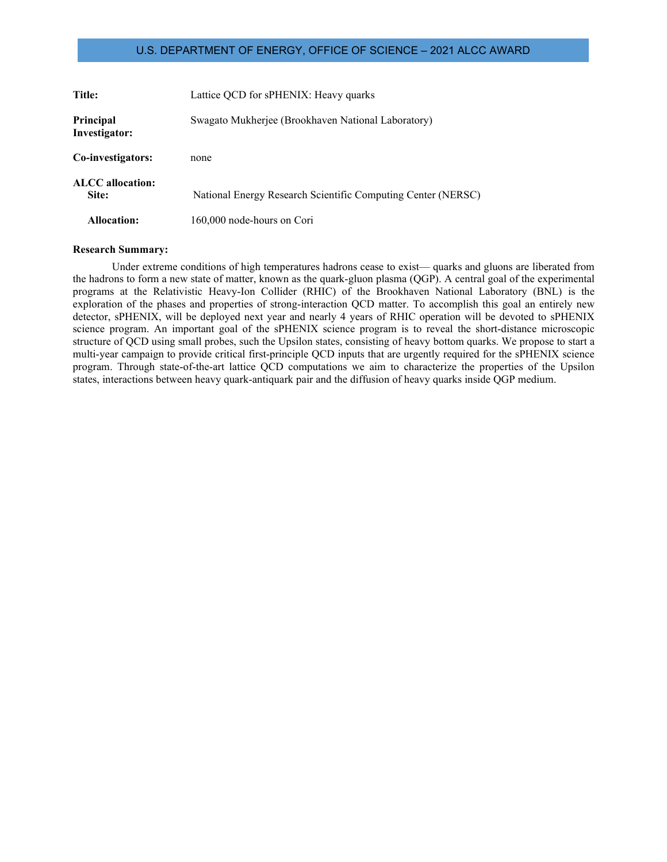| Title:                     | Lattice QCD for sPHENIX: Heavy quarks                        |
|----------------------------|--------------------------------------------------------------|
| Principal<br>Investigator: | Swagato Mukherjee (Brookhaven National Laboratory)           |
| Co-investigators:          | none                                                         |
| ALCC allocation:<br>Site:  | National Energy Research Scientific Computing Center (NERSC) |
| <b>Allocation:</b>         | 160,000 node-hours on Cori                                   |

#### **Research Summary:**

Under extreme conditions of high temperatures hadrons cease to exist— quarks and gluons are liberated from the hadrons to form a new state of matter, known as the quark-gluon plasma (QGP). A central goal of the experimental programs at the Relativistic Heavy-Ion Collider (RHIC) of the Brookhaven National Laboratory (BNL) is the exploration of the phases and properties of strong-interaction QCD matter. To accomplish this goal an entirely new detector, sPHENIX, will be deployed next year and nearly 4 years of RHIC operation will be devoted to sPHENIX science program. An important goal of the sPHENIX science program is to reveal the short-distance microscopic structure of QCD using small probes, such the Upsilon states, consisting of heavy bottom quarks. We propose to start a multi-year campaign to provide critical first-principle QCD inputs that are urgently required for the sPHENIX science program. Through state-of-the-art lattice QCD computations we aim to characterize the properties of the Upsilon states, interactions between heavy quark-antiquark pair and the diffusion of heavy quarks inside QGP medium.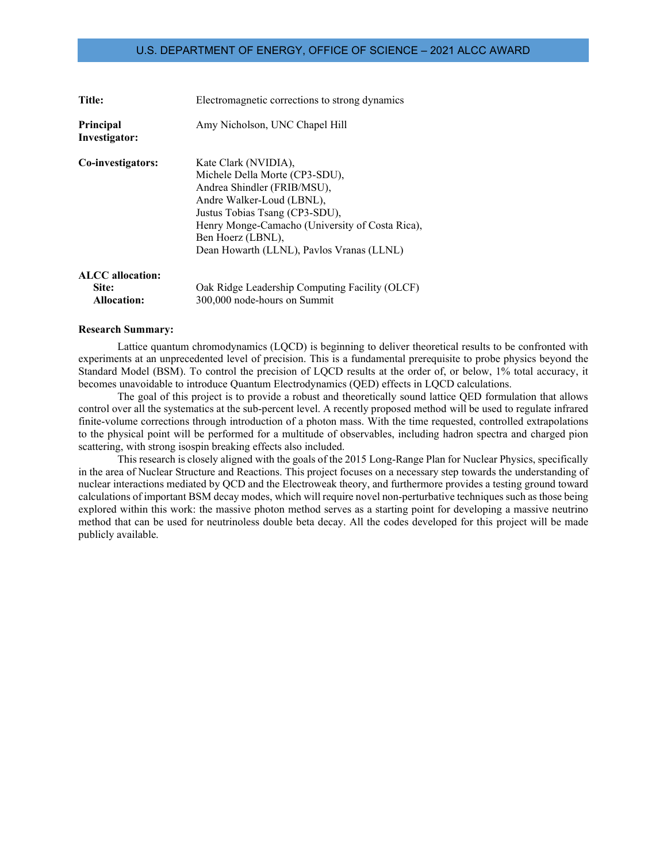| <b>Title:</b>                     | Electromagnetic corrections to strong dynamics                                                                                                                                                                                                                            |
|-----------------------------------|---------------------------------------------------------------------------------------------------------------------------------------------------------------------------------------------------------------------------------------------------------------------------|
| <b>Principal</b><br>Investigator: | Amy Nicholson, UNC Chapel Hill                                                                                                                                                                                                                                            |
| Co-investigators:                 | Kate Clark (NVIDIA),<br>Michele Della Morte (CP3-SDU),<br>Andrea Shindler (FRIB/MSU),<br>Andre Walker-Loud (LBNL),<br>Justus Tobias Tsang (CP3-SDU),<br>Henry Monge-Camacho (University of Costa Rica),<br>Ben Hoerz (LBNL),<br>Dean Howarth (LLNL), Pavlos Vranas (LLNL) |
| <b>ALCC</b> allocation:           |                                                                                                                                                                                                                                                                           |
| Site:                             | Oak Ridge Leadership Computing Facility (OLCF)                                                                                                                                                                                                                            |
| <b>Allocation:</b>                | 300,000 node-hours on Summit                                                                                                                                                                                                                                              |

#### **Research Summary:**

Lattice quantum chromodynamics (LQCD) is beginning to deliver theoretical results to be confronted with experiments at an unprecedented level of precision. This is a fundamental prerequisite to probe physics beyond the Standard Model (BSM). To control the precision of LQCD results at the order of, or below, 1% total accuracy, it becomes unavoidable to introduce Quantum Electrodynamics (QED) effects in LQCD calculations.

The goal of this project is to provide a robust and theoretically sound lattice QED formulation that allows control over all the systematics at the sub-percent level. A recently proposed method will be used to regulate infrared finite-volume corrections through introduction of a photon mass. With the time requested, controlled extrapolations to the physical point will be performed for a multitude of observables, including hadron spectra and charged pion scattering, with strong isospin breaking effects also included.

This research is closely aligned with the goals of the 2015 Long-Range Plan for Nuclear Physics, specifically in the area of Nuclear Structure and Reactions. This project focuses on a necessary step towards the understanding of nuclear interactions mediated by QCD and the Electroweak theory, and furthermore provides a testing ground toward calculations of important BSM decay modes, which will require novel non-perturbative techniques such as those being explored within this work: the massive photon method serves as a starting point for developing a massive neutrino method that can be used for neutrinoless double beta decay. All the codes developed for this project will be made publicly available.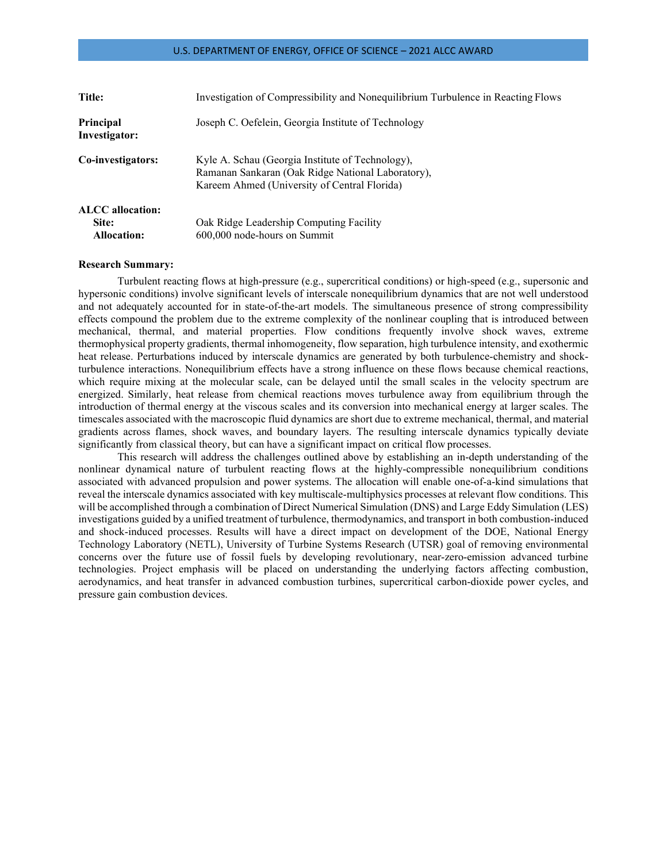| Title:                            | Investigation of Compressibility and Nonequilibrium Turbulence in Reacting Flows                                                                      |
|-----------------------------------|-------------------------------------------------------------------------------------------------------------------------------------------------------|
| <b>Principal</b><br>Investigator: | Joseph C. Oefelein, Georgia Institute of Technology                                                                                                   |
| Co-investigators:                 | Kyle A. Schau (Georgia Institute of Technology),<br>Ramanan Sankaran (Oak Ridge National Laboratory),<br>Kareem Ahmed (University of Central Florida) |
| <b>ALCC</b> allocation:           |                                                                                                                                                       |
| Site:                             | Oak Ridge Leadership Computing Facility                                                                                                               |
| <b>Allocation:</b>                | 600,000 node-hours on Summit                                                                                                                          |

#### **Research Summary:**

Turbulent reacting flows at high-pressure (e.g., supercritical conditions) or high-speed (e.g., supersonic and hypersonic conditions) involve significant levels of interscale nonequilibrium dynamics that are not well understood and not adequately accounted for in state-of-the-art models. The simultaneous presence of strong compressibility effects compound the problem due to the extreme complexity of the nonlinear coupling that is introduced between mechanical, thermal, and material properties. Flow conditions frequently involve shock waves, extreme thermophysical property gradients, thermal inhomogeneity, flow separation, high turbulence intensity, and exothermic heat release. Perturbations induced by interscale dynamics are generated by both turbulence-chemistry and shockturbulence interactions. Nonequilibrium effects have a strong influence on these flows because chemical reactions, which require mixing at the molecular scale, can be delayed until the small scales in the velocity spectrum are energized. Similarly, heat release from chemical reactions moves turbulence away from equilibrium through the introduction of thermal energy at the viscous scales and its conversion into mechanical energy at larger scales. The timescales associated with the macroscopic fluid dynamics are short due to extreme mechanical, thermal, and material gradients across flames, shock waves, and boundary layers. The resulting interscale dynamics typically deviate significantly from classical theory, but can have a significant impact on critical flow processes.

This research will address the challenges outlined above by establishing an in-depth understanding of the nonlinear dynamical nature of turbulent reacting flows at the highly-compressible nonequilibrium conditions associated with advanced propulsion and power systems. The allocation will enable one-of-a-kind simulations that reveal the interscale dynamics associated with key multiscale-multiphysics processes at relevant flow conditions. This will be accomplished through a combination of Direct Numerical Simulation (DNS) and Large Eddy Simulation (LES) investigations guided by a unified treatment of turbulence, thermodynamics, and transport in both combustion-induced and shock-induced processes. Results will have a direct impact on development of the DOE, National Energy Technology Laboratory (NETL), University of Turbine Systems Research (UTSR) goal of removing environmental concerns over the future use of fossil fuels by developing revolutionary, near-zero-emission advanced turbine technologies. Project emphasis will be placed on understanding the underlying factors affecting combustion, aerodynamics, and heat transfer in advanced combustion turbines, supercritical carbon-dioxide power cycles, and pressure gain combustion devices.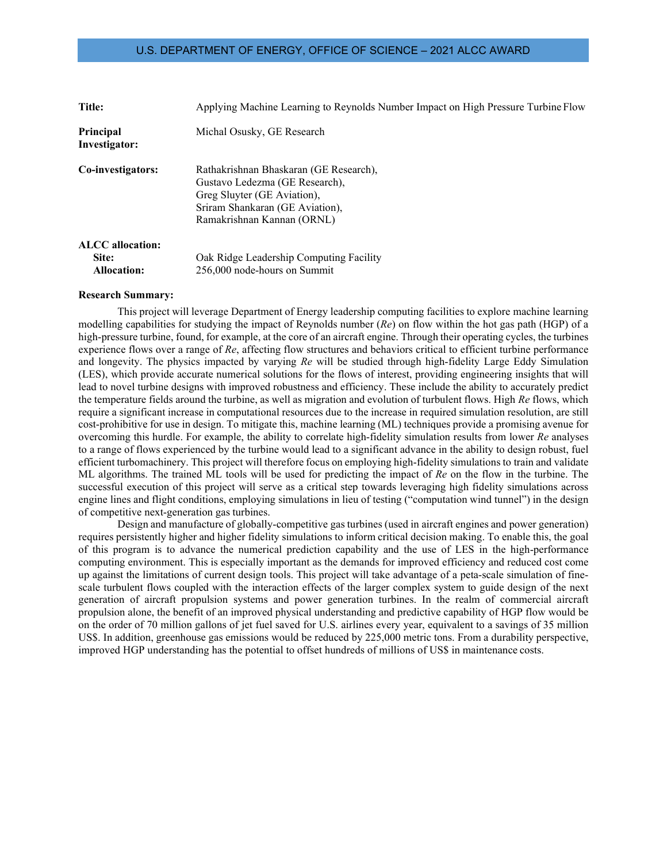| Title:                                                 | Applying Machine Learning to Reynolds Number Impact on High Pressure Turbine Flow                                                                                        |
|--------------------------------------------------------|--------------------------------------------------------------------------------------------------------------------------------------------------------------------------|
| Principal<br>Investigator:                             | Michal Osusky, GE Research                                                                                                                                               |
| Co-investigators:                                      | Rathakrishnan Bhaskaran (GE Research),<br>Gustavo Ledezma (GE Research),<br>Greg Sluyter (GE Aviation),<br>Sriram Shankaran (GE Aviation),<br>Ramakrishnan Kannan (ORNL) |
| <b>ALCC</b> allocation:<br>Site:<br><b>Allocation:</b> | Oak Ridge Leadership Computing Facility<br>256,000 node-hours on Summit                                                                                                  |

#### **Research Summary:**

This project will leverage Department of Energy leadership computing facilities to explore machine learning modelling capabilities for studying the impact of Reynolds number (*Re*) on flow within the hot gas path (HGP) of a high-pressure turbine, found, for example, at the core of an aircraft engine. Through their operating cycles, the turbines experience flows over a range of *Re*, affecting flow structures and behaviors critical to efficient turbine performance and longevity. The physics impacted by varying *Re* will be studied through high-fidelity Large Eddy Simulation (LES), which provide accurate numerical solutions for the flows of interest, providing engineering insights that will lead to novel turbine designs with improved robustness and efficiency. These include the ability to accurately predict the temperature fields around the turbine, as well as migration and evolution of turbulent flows. High *Re* flows, which require a significant increase in computational resources due to the increase in required simulation resolution, are still cost-prohibitive for use in design. To mitigate this, machine learning (ML) techniques provide a promising avenue for overcoming this hurdle. For example, the ability to correlate high-fidelity simulation results from lower *Re* analyses to a range of flows experienced by the turbine would lead to a significant advance in the ability to design robust, fuel efficient turbomachinery. This project will therefore focus on employing high-fidelity simulations to train and validate ML algorithms. The trained ML tools will be used for predicting the impact of *Re* on the flow in the turbine. The successful execution of this project will serve as a critical step towards leveraging high fidelity simulations across engine lines and flight conditions, employing simulations in lieu of testing ("computation wind tunnel") in the design of competitive next-generation gas turbines.

Design and manufacture of globally-competitive gas turbines (used in aircraft engines and power generation) requires persistently higher and higher fidelity simulations to inform critical decision making. To enable this, the goal of this program is to advance the numerical prediction capability and the use of LES in the high-performance computing environment. This is especially important as the demands for improved efficiency and reduced cost come up against the limitations of current design tools. This project will take advantage of a peta-scale simulation of finescale turbulent flows coupled with the interaction effects of the larger complex system to guide design of the next generation of aircraft propulsion systems and power generation turbines. In the realm of commercial aircraft propulsion alone, the benefit of an improved physical understanding and predictive capability of HGP flow would be on the order of 70 million gallons of jet fuel saved for U.S. airlines every year, equivalent to a savings of 35 million US\$. In addition, greenhouse gas emissions would be reduced by 225,000 metric tons. From a durability perspective, improved HGP understanding has the potential to offset hundreds of millions of US\$ in maintenance costs.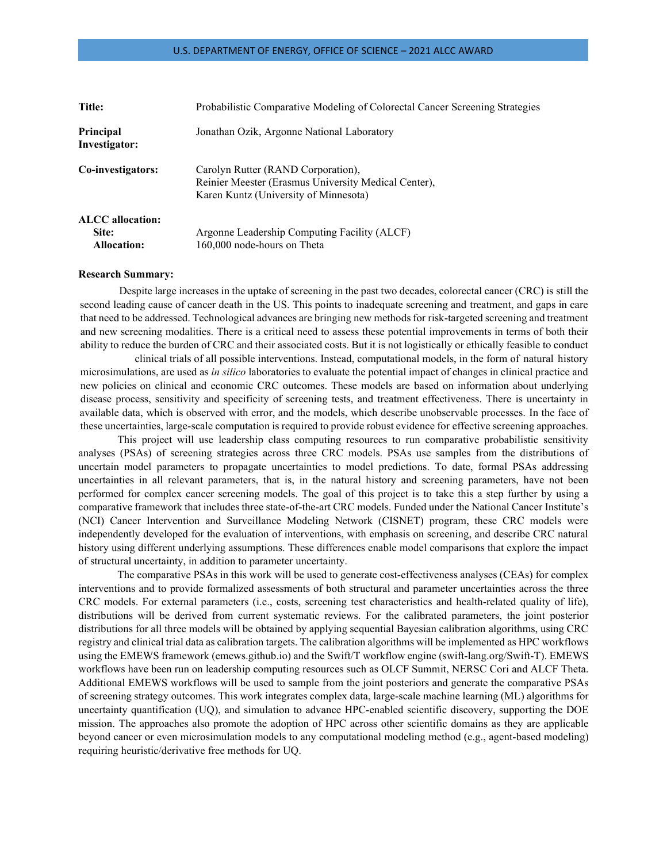| Title:                            | Probabilistic Comparative Modeling of Colorectal Cancer Screening Strategies                                                        |
|-----------------------------------|-------------------------------------------------------------------------------------------------------------------------------------|
| <b>Principal</b><br>Investigator: | Jonathan Ozik, Argonne National Laboratory                                                                                          |
| Co-investigators:                 | Carolyn Rutter (RAND Corporation),<br>Reinier Meester (Erasmus University Medical Center),<br>Karen Kuntz (University of Minnesota) |
| <b>ALCC</b> allocation:           |                                                                                                                                     |
| Site:                             | Argonne Leadership Computing Facility (ALCF)                                                                                        |
| <b>Allocation:</b>                | 160,000 node-hours on Theta                                                                                                         |

#### **Research Summary:**

Despite large increases in the uptake of screening in the past two decades, colorectal cancer (CRC) is still the second leading cause of cancer death in the US. This points to inadequate screening and treatment, and gaps in care that need to be addressed. Technological advances are bringing new methods for risk-targeted screening and treatment and new screening modalities. There is a critical need to assess these potential improvements in terms of both their ability to reduce the burden of CRC and their associated costs. But it is not logistically or ethically feasible to conduct

clinical trials of all possible interventions. Instead, computational models, in the form of natural history microsimulations, are used as *in silico* laboratories to evaluate the potential impact of changes in clinical practice and new policies on clinical and economic CRC outcomes. These models are based on information about underlying disease process, sensitivity and specificity of screening tests, and treatment effectiveness. There is uncertainty in available data, which is observed with error, and the models, which describe unobservable processes. In the face of these uncertainties, large-scale computation is required to provide robust evidence for effective screening approaches.

This project will use leadership class computing resources to run comparative probabilistic sensitivity analyses (PSAs) of screening strategies across three CRC models. PSAs use samples from the distributions of uncertain model parameters to propagate uncertainties to model predictions. To date, formal PSAs addressing uncertainties in all relevant parameters, that is, in the natural history and screening parameters, have not been performed for complex cancer screening models. The goal of this project is to take this a step further by using a comparative framework that includes three state-of-the-art CRC models. Funded under the National Cancer Institute's (NCI) Cancer Intervention and Surveillance Modeling Network (CISNET) program, these CRC models were independently developed for the evaluation of interventions, with emphasis on screening, and describe CRC natural history using different underlying assumptions. These differences enable model comparisons that explore the impact of structural uncertainty, in addition to parameter uncertainty.

The comparative PSAs in this work will be used to generate cost-effectiveness analyses (CEAs) for complex interventions and to provide formalized assessments of both structural and parameter uncertainties across the three CRC models. For external parameters (i.e., costs, screening test characteristics and health-related quality of life), distributions will be derived from current systematic reviews. For the calibrated parameters, the joint posterior distributions for all three models will be obtained by applying sequential Bayesian calibration algorithms, using CRC registry and clinical trial data as calibration targets. The calibration algorithms will be implemented as HPC workflows using the EMEWS framework (emews.github.io) and the Swift/T workflow engine (swift-lang.org/Swift-T). EMEWS workflows have been run on leadership computing resources such as OLCF Summit, NERSC Cori and ALCF Theta. Additional EMEWS workflows will be used to sample from the joint posteriors and generate the comparative PSAs of screening strategy outcomes. This work integrates complex data, large-scale machine learning (ML) algorithms for uncertainty quantification (UQ), and simulation to advance HPC-enabled scientific discovery, supporting the DOE mission. The approaches also promote the adoption of HPC across other scientific domains as they are applicable beyond cancer or even microsimulation models to any computational modeling method (e.g., agent-based modeling) requiring heuristic/derivative free methods for UQ.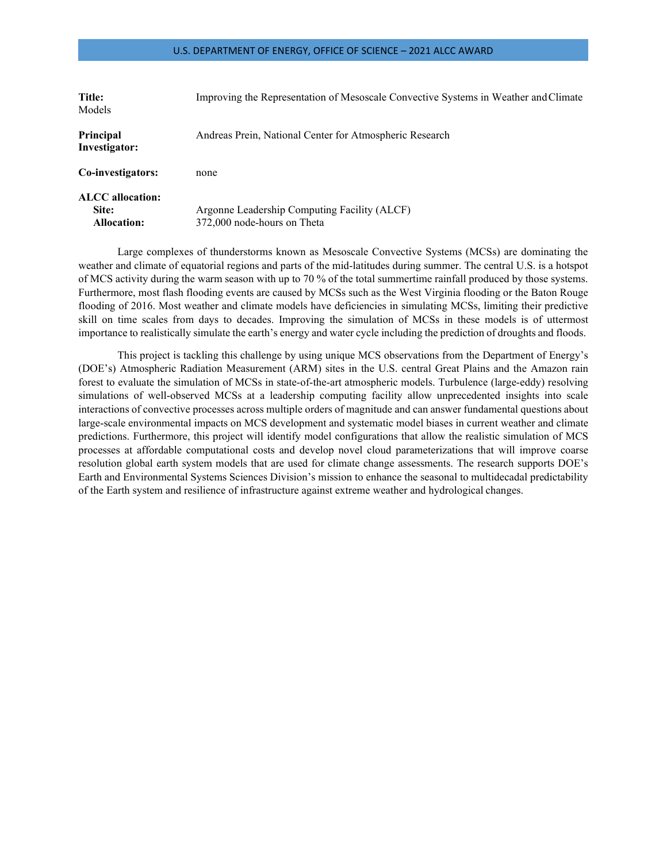| Title:<br>Models                         | Improving the Representation of Mesoscale Convective Systems in Weather and Climate |
|------------------------------------------|-------------------------------------------------------------------------------------|
| <b>Principal</b><br>Investigator:        | Andreas Prein, National Center for Atmospheric Research                             |
| Co-investigators:                        | none                                                                                |
| ALCC allocation:<br>Site:<br>Allocation: | Argonne Leadership Computing Facility (ALCF)<br>372,000 node-hours on Theta         |

Large complexes of thunderstorms known as Mesoscale Convective Systems (MCSs) are dominating the weather and climate of equatorial regions and parts of the mid-latitudes during summer. The central U.S. is a hotspot of MCS activity during the warm season with up to 70 % of the total summertime rainfall produced by those systems. Furthermore, most flash flooding events are caused by MCSs such as the West Virginia flooding or the Baton Rouge flooding of 2016. Most weather and climate models have deficiencies in simulating MCSs, limiting their predictive skill on time scales from days to decades. Improving the simulation of MCSs in these models is of uttermost importance to realistically simulate the earth's energy and water cycle including the prediction of droughts and floods.

This project is tackling this challenge by using unique MCS observations from the Department of Energy's (DOE's) Atmospheric Radiation Measurement (ARM) sites in the U.S. central Great Plains and the Amazon rain forest to evaluate the simulation of MCSs in state-of-the-art atmospheric models. Turbulence (large-eddy) resolving simulations of well-observed MCSs at a leadership computing facility allow unprecedented insights into scale interactions of convective processes across multiple orders of magnitude and can answer fundamental questions about large-scale environmental impacts on MCS development and systematic model biases in current weather and climate predictions. Furthermore, this project will identify model configurations that allow the realistic simulation of MCS processes at affordable computational costs and develop novel cloud parameterizations that will improve coarse resolution global earth system models that are used for climate change assessments. The research supports DOE's Earth and Environmental Systems Sciences Division's mission to enhance the seasonal to multidecadal predictability of the Earth system and resilience of infrastructure against extreme weather and hydrological changes.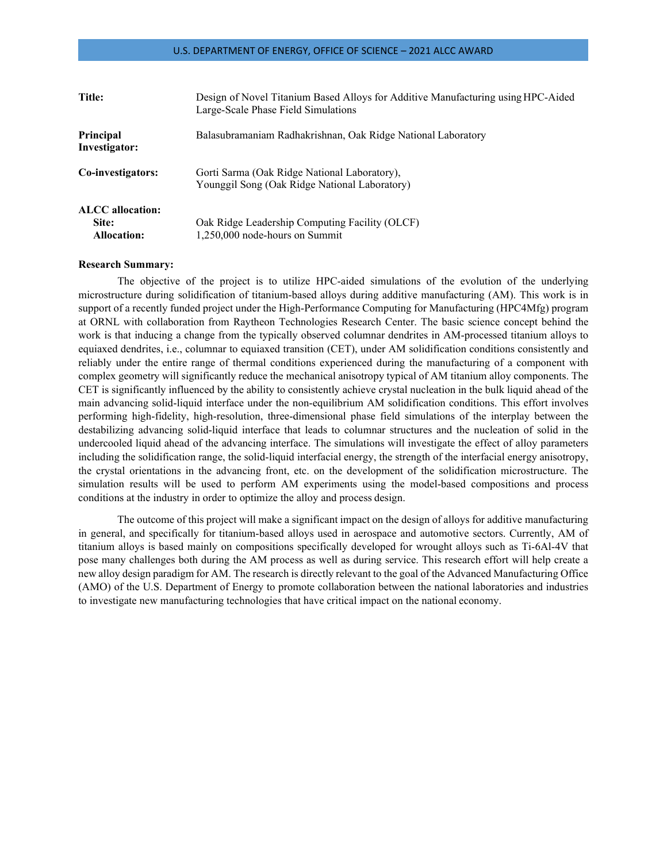| Title:                                          | Design of Novel Titanium Based Alloys for Additive Manufacturing using HPC-Aided<br>Large-Scale Phase Field Simulations |
|-------------------------------------------------|-------------------------------------------------------------------------------------------------------------------------|
| <b>Principal</b><br>Investigator:               | Balasubramaniam Radhakrishnan, Oak Ridge National Laboratory                                                            |
| Co-investigators:                               | Gorti Sarma (Oak Ridge National Laboratory),<br>Younggil Song (Oak Ridge National Laboratory)                           |
| ALCC allocation:<br>Site:<br><b>Allocation:</b> | Oak Ridge Leadership Computing Facility (OLCF)<br>1,250,000 node-hours on Summit                                        |

#### **Research Summary:**

The objective of the project is to utilize HPC-aided simulations of the evolution of the underlying microstructure during solidification of titanium-based alloys during additive manufacturing (AM). This work is in support of a recently funded project under the High-Performance Computing for Manufacturing (HPC4Mfg) program at ORNL with collaboration from Raytheon Technologies Research Center. The basic science concept behind the work is that inducing a change from the typically observed columnar dendrites in AM-processed titanium alloys to equiaxed dendrites, i.e., columnar to equiaxed transition (CET), under AM solidification conditions consistently and reliably under the entire range of thermal conditions experienced during the manufacturing of a component with complex geometry will significantly reduce the mechanical anisotropy typical of AM titanium alloy components. The CET is significantly influenced by the ability to consistently achieve crystal nucleation in the bulk liquid ahead of the main advancing solid-liquid interface under the non-equilibrium AM solidification conditions. This effort involves performing high-fidelity, high-resolution, three-dimensional phase field simulations of the interplay between the destabilizing advancing solid-liquid interface that leads to columnar structures and the nucleation of solid in the undercooled liquid ahead of the advancing interface. The simulations will investigate the effect of alloy parameters including the solidification range, the solid-liquid interfacial energy, the strength of the interfacial energy anisotropy, the crystal orientations in the advancing front, etc. on the development of the solidification microstructure. The simulation results will be used to perform AM experiments using the model-based compositions and process conditions at the industry in order to optimize the alloy and process design.

The outcome of this project will make a significant impact on the design of alloys for additive manufacturing in general, and specifically for titanium-based alloys used in aerospace and automotive sectors. Currently, AM of titanium alloys is based mainly on compositions specifically developed for wrought alloys such as Ti-6Al-4V that pose many challenges both during the AM process as well as during service. This research effort will help create a new alloy design paradigm for AM. The research is directly relevant to the goal of the Advanced Manufacturing Office (AMO) of the U.S. Department of Energy to promote collaboration between the national laboratories and industries to investigate new manufacturing technologies that have critical impact on the national economy.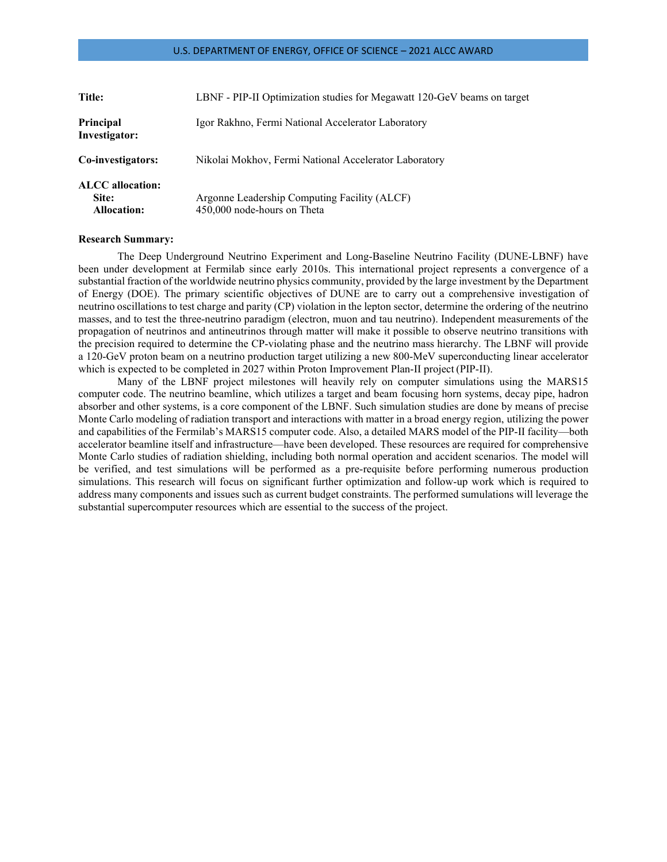| Title:                                                 | LBNF - PIP-II Optimization studies for Megawatt 120-GeV beams on target     |
|--------------------------------------------------------|-----------------------------------------------------------------------------|
| Principal<br>Investigator:                             | Igor Rakhno, Fermi National Accelerator Laboratory                          |
| Co-investigators:                                      | Nikolai Mokhov, Fermi National Accelerator Laboratory                       |
| <b>ALCC</b> allocation:<br>Site:<br><b>Allocation:</b> | Argonne Leadership Computing Facility (ALCF)<br>450,000 node-hours on Theta |

#### **Research Summary:**

The Deep Underground Neutrino Experiment and Long-Baseline Neutrino Facility (DUNE-LBNF) have been under development at Fermilab since early 2010s. This international project represents a convergence of a substantial fraction of the worldwide neutrino physics community, provided by the large investment by the Department of Energy (DOE). The primary scientific objectives of DUNE are to carry out a comprehensive investigation of neutrino oscillations to test charge and parity (CP) violation in the lepton sector, determine the ordering of the neutrino masses, and to test the three-neutrino paradigm (electron, muon and tau neutrino). Independent measurements of the propagation of neutrinos and antineutrinos through matter will make it possible to observe neutrino transitions with the precision required to determine the CP-violating phase and the neutrino mass hierarchy. The LBNF will provide a 120-GeV proton beam on a neutrino production target utilizing a new 800-MeV superconducting linear accelerator which is expected to be completed in 2027 within Proton Improvement Plan-II project (PIP-II).

Many of the LBNF project milestones will heavily rely on computer simulations using the MARS15 computer code. The neutrino beamline, which utilizes a target and beam focusing horn systems, decay pipe, hadron absorber and other systems, is a core component of the LBNF. Such simulation studies are done by means of precise Monte Carlo modeling of radiation transport and interactions with matter in a broad energy region, utilizing the power and capabilities of the Fermilab's MARS15 computer code. Also, a detailed MARS model of the PIP-II facility—both accelerator beamline itself and infrastructure—have been developed. These resources are required for comprehensive Monte Carlo studies of radiation shielding, including both normal operation and accident scenarios. The model will be verified, and test simulations will be performed as a pre-requisite before performing numerous production simulations. This research will focus on significant further optimization and follow-up work which is required to address many components and issues such as current budget constraints. The performed sumulations will leverage the substantial supercomputer resources which are essential to the success of the project.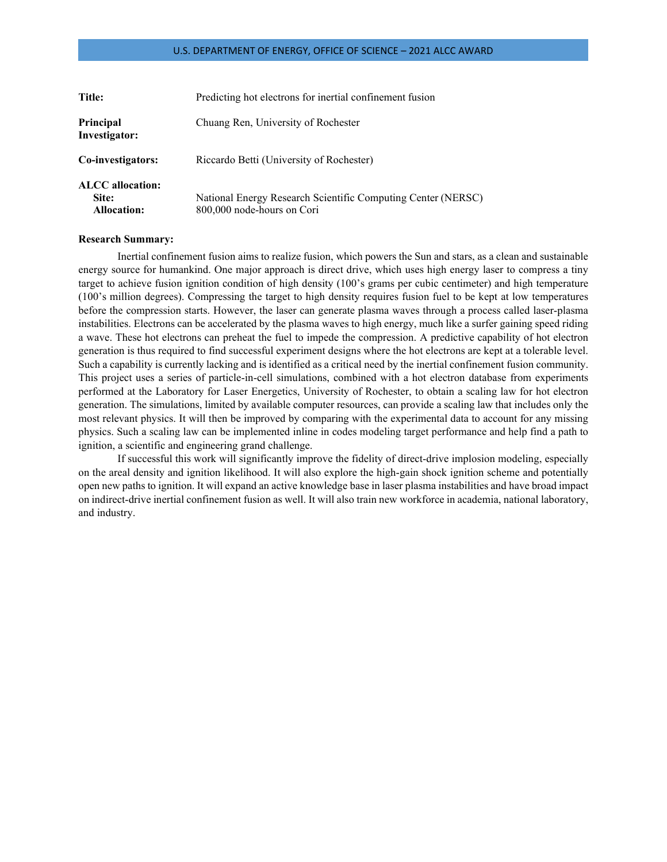| Title:                                                 | Predicting hot electrons for inertial confinement fusion                                   |
|--------------------------------------------------------|--------------------------------------------------------------------------------------------|
| Principal<br>Investigator:                             | Chuang Ren, University of Rochester                                                        |
| Co-investigators:                                      | Riccardo Betti (University of Rochester)                                                   |
| <b>ALCC</b> allocation:<br>Site:<br><b>Allocation:</b> | National Energy Research Scientific Computing Center (NERSC)<br>800,000 node-hours on Cori |

## **Research Summary:**

Inertial confinement fusion aims to realize fusion, which powers the Sun and stars, as a clean and sustainable energy source for humankind. One major approach is direct drive, which uses high energy laser to compress a tiny target to achieve fusion ignition condition of high density (100's grams per cubic centimeter) and high temperature (100's million degrees). Compressing the target to high density requires fusion fuel to be kept at low temperatures before the compression starts. However, the laser can generate plasma waves through a process called laser-plasma instabilities. Electrons can be accelerated by the plasma waves to high energy, much like a surfer gaining speed riding a wave. These hot electrons can preheat the fuel to impede the compression. A predictive capability of hot electron generation is thus required to find successful experiment designs where the hot electrons are kept at a tolerable level. Such a capability is currently lacking and is identified as a critical need by the inertial confinement fusion community. This project uses a series of particle-in-cell simulations, combined with a hot electron database from experiments performed at the Laboratory for Laser Energetics, University of Rochester, to obtain a scaling law for hot electron generation. The simulations, limited by available computer resources, can provide a scaling law that includes only the most relevant physics. It will then be improved by comparing with the experimental data to account for any missing physics. Such a scaling law can be implemented inline in codes modeling target performance and help find a path to ignition, a scientific and engineering grand challenge.

If successful this work will significantly improve the fidelity of direct-drive implosion modeling, especially on the areal density and ignition likelihood. It will also explore the high-gain shock ignition scheme and potentially open new paths to ignition. It will expand an active knowledge base in laser plasma instabilities and have broad impact on indirect-drive inertial confinement fusion as well. It will also train new workforce in academia, national laboratory, and industry.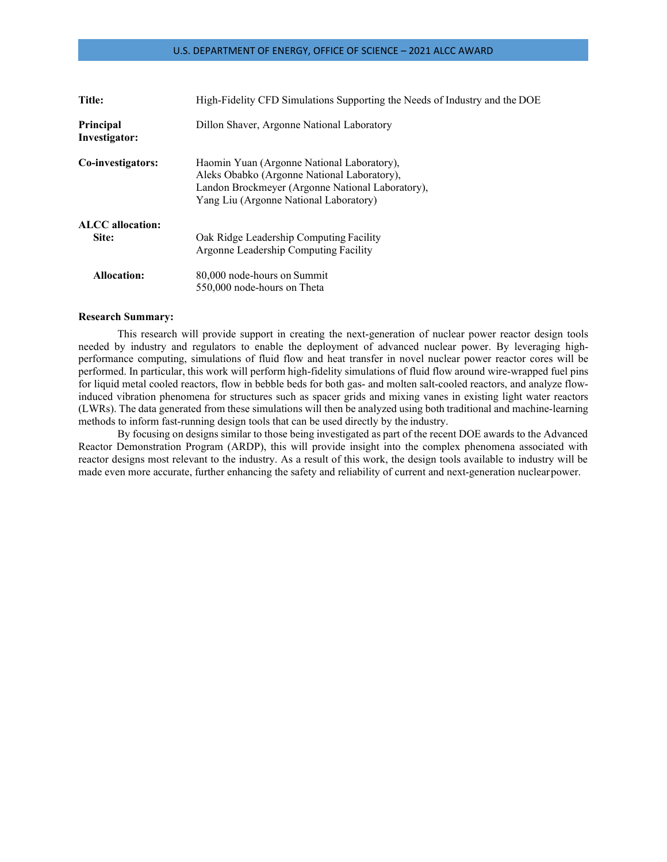| Title:                           | High-Fidelity CFD Simulations Supporting the Needs of Industry and the DOE                                                                                                              |
|----------------------------------|-----------------------------------------------------------------------------------------------------------------------------------------------------------------------------------------|
| Principal<br>Investigator:       | Dillon Shaver, Argonne National Laboratory                                                                                                                                              |
| Co-investigators:                | Haomin Yuan (Argonne National Laboratory),<br>Aleks Obabko (Argonne National Laboratory),<br>Landon Brockmeyer (Argonne National Laboratory),<br>Yang Liu (Argonne National Laboratory) |
| <b>ALCC</b> allocation:<br>Site: | Oak Ridge Leadership Computing Facility<br>Argonne Leadership Computing Facility                                                                                                        |
| Allocation:                      | 80,000 node-hours on Summit<br>550,000 node-hours on Theta                                                                                                                              |

#### **Research Summary:**

This research will provide support in creating the next-generation of nuclear power reactor design tools needed by industry and regulators to enable the deployment of advanced nuclear power. By leveraging highperformance computing, simulations of fluid flow and heat transfer in novel nuclear power reactor cores will be performed. In particular, this work will perform high-fidelity simulations of fluid flow around wire-wrapped fuel pins for liquid metal cooled reactors, flow in bebble beds for both gas- and molten salt-cooled reactors, and analyze flowinduced vibration phenomena for structures such as spacer grids and mixing vanes in existing light water reactors (LWRs). The data generated from these simulations will then be analyzed using both traditional and machine-learning methods to inform fast-running design tools that can be used directly by the industry.

By focusing on designs similar to those being investigated as part of the recent DOE awards to the Advanced Reactor Demonstration Program (ARDP), this will provide insight into the complex phenomena associated with reactor designs most relevant to the industry. As a result of this work, the design tools available to industry will be made even more accurate, further enhancing the safety and reliability of current and next-generation nuclearpower.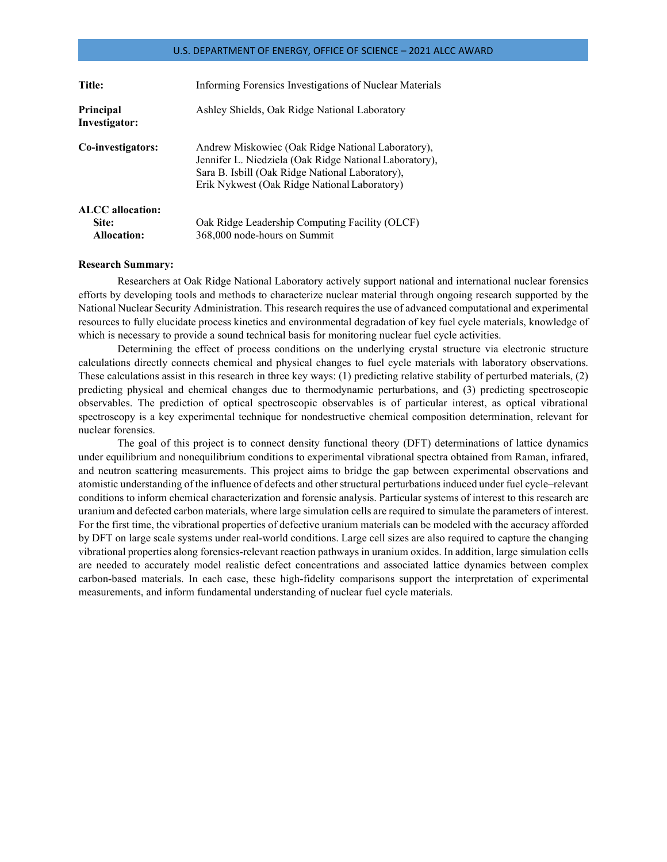| Title:                     | Informing Forensics Investigations of Nuclear Materials                                                                                                                                                        |
|----------------------------|----------------------------------------------------------------------------------------------------------------------------------------------------------------------------------------------------------------|
| Principal<br>Investigator: | Ashley Shields, Oak Ridge National Laboratory                                                                                                                                                                  |
| Co-investigators:          | Andrew Miskowiec (Oak Ridge National Laboratory),<br>Jennifer L. Niedziela (Oak Ridge National Laboratory),<br>Sara B. Isbill (Oak Ridge National Laboratory),<br>Erik Nykwest (Oak Ridge National Laboratory) |
| <b>ALCC</b> allocation:    |                                                                                                                                                                                                                |
| Site:                      | Oak Ridge Leadership Computing Facility (OLCF)                                                                                                                                                                 |
| <b>Allocation:</b>         | 368,000 node-hours on Summit                                                                                                                                                                                   |

### **Research Summary:**

Researchers at Oak Ridge National Laboratory actively support national and international nuclear forensics efforts by developing tools and methods to characterize nuclear material through ongoing research supported by the National Nuclear Security Administration. This research requires the use of advanced computational and experimental resources to fully elucidate process kinetics and environmental degradation of key fuel cycle materials, knowledge of which is necessary to provide a sound technical basis for monitoring nuclear fuel cycle activities.

Determining the effect of process conditions on the underlying crystal structure via electronic structure calculations directly connects chemical and physical changes to fuel cycle materials with laboratory observations. These calculations assist in this research in three key ways: (1) predicting relative stability of perturbed materials, (2) predicting physical and chemical changes due to thermodynamic perturbations, and (3) predicting spectroscopic observables. The prediction of optical spectroscopic observables is of particular interest, as optical vibrational spectroscopy is a key experimental technique for nondestructive chemical composition determination, relevant for nuclear forensics.

The goal of this project is to connect density functional theory (DFT) determinations of lattice dynamics under equilibrium and nonequilibrium conditions to experimental vibrational spectra obtained from Raman, infrared, and neutron scattering measurements. This project aims to bridge the gap between experimental observations and atomistic understanding of the influence of defects and other structural perturbationsinduced under fuel cycle–relevant conditions to inform chemical characterization and forensic analysis. Particular systems of interest to this research are uranium and defected carbon materials, where large simulation cells are required to simulate the parameters of interest. For the first time, the vibrational properties of defective uranium materials can be modeled with the accuracy afforded by DFT on large scale systems under real-world conditions. Large cell sizes are also required to capture the changing vibrational properties along forensics-relevant reaction pathways in uranium oxides. In addition, large simulation cells are needed to accurately model realistic defect concentrations and associated lattice dynamics between complex carbon-based materials. In each case, these high-fidelity comparisons support the interpretation of experimental measurements, and inform fundamental understanding of nuclear fuel cycle materials.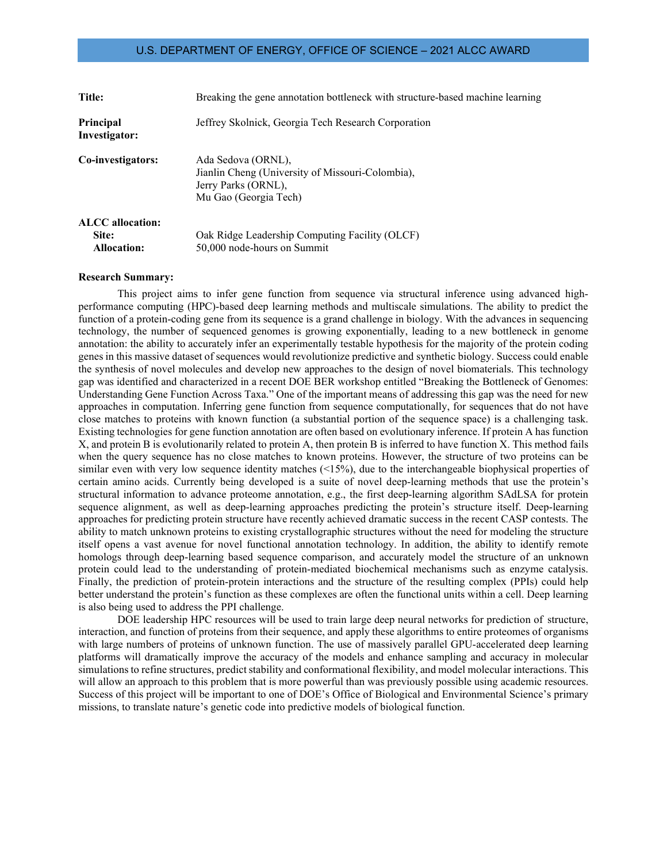| Title:                            | Breaking the gene annotation bottleneck with structure-based machine learning                                          |
|-----------------------------------|------------------------------------------------------------------------------------------------------------------------|
| <b>Principal</b><br>Investigator: | Jeffrey Skolnick, Georgia Tech Research Corporation                                                                    |
| Co-investigators:                 | Ada Sedova (ORNL),<br>Jianlin Cheng (University of Missouri-Colombia),<br>Jerry Parks (ORNL),<br>Mu Gao (Georgia Tech) |
| <b>ALCC</b> allocation:           |                                                                                                                        |
| Site:                             | Oak Ridge Leadership Computing Facility (OLCF)                                                                         |
| <b>Allocation:</b>                | 50,000 node-hours on Summit                                                                                            |

#### **Research Summary:**

This project aims to infer gene function from sequence via structural inference using advanced highperformance computing (HPC)-based deep learning methods and multiscale simulations. The ability to predict the function of a protein-coding gene from its sequence is a grand challenge in biology. With the advances in sequencing technology, the number of sequenced genomes is growing exponentially, leading to a new bottleneck in genome annotation: the ability to accurately infer an experimentally testable hypothesis for the majority of the protein coding genes in this massive dataset of sequences would revolutionize predictive and synthetic biology. Success could enable the synthesis of novel molecules and develop new approaches to the design of novel biomaterials. This technology gap was identified and characterized in a recent DOE BER workshop entitled "Breaking the Bottleneck of Genomes: Understanding Gene Function Across Taxa." One of the important means of addressing this gap was the need for new approaches in computation. Inferring gene function from sequence computationally, for sequences that do not have close matches to proteins with known function (a substantial portion of the sequence space) is a challenging task. Existing technologies for gene function annotation are often based on evolutionary inference. If protein A has function X, and protein B is evolutionarily related to protein A, then protein B is inferred to have function X. This method fails when the query sequence has no close matches to known proteins. However, the structure of two proteins can be similar even with very low sequence identity matches (<15%), due to the interchangeable biophysical properties of certain amino acids. Currently being developed is a suite of novel deep-learning methods that use the protein's structural information to advance proteome annotation, e.g., the first deep-learning algorithm SAdLSA for protein sequence alignment, as well as deep-learning approaches predicting the protein's structure itself. Deep-learning approaches for predicting protein structure have recently achieved dramatic success in the recent CASP contests. The ability to match unknown proteins to existing crystallographic structures without the need for modeling the structure itself opens a vast avenue for novel functional annotation technology. In addition, the ability to identify remote homologs through deep-learning based sequence comparison, and accurately model the structure of an unknown protein could lead to the understanding of protein-mediated biochemical mechanisms such as enzyme catalysis. Finally, the prediction of protein-protein interactions and the structure of the resulting complex (PPIs) could help better understand the protein's function as these complexes are often the functional units within a cell. Deep learning is also being used to address the PPI challenge.

DOE leadership HPC resources will be used to train large deep neural networks for prediction of structure, interaction, and function of proteins from their sequence, and apply these algorithms to entire proteomes of organisms with large numbers of proteins of unknown function. The use of massively parallel GPU-accelerated deep learning platforms will dramatically improve the accuracy of the models and enhance sampling and accuracy in molecular simulations to refine structures, predict stability and conformational flexibility, and model molecular interactions. This will allow an approach to this problem that is more powerful than was previously possible using academic resources. Success of this project will be important to one of DOE's Office of Biological and Environmental Science's primary missions, to translate nature's genetic code into predictive models of biological function.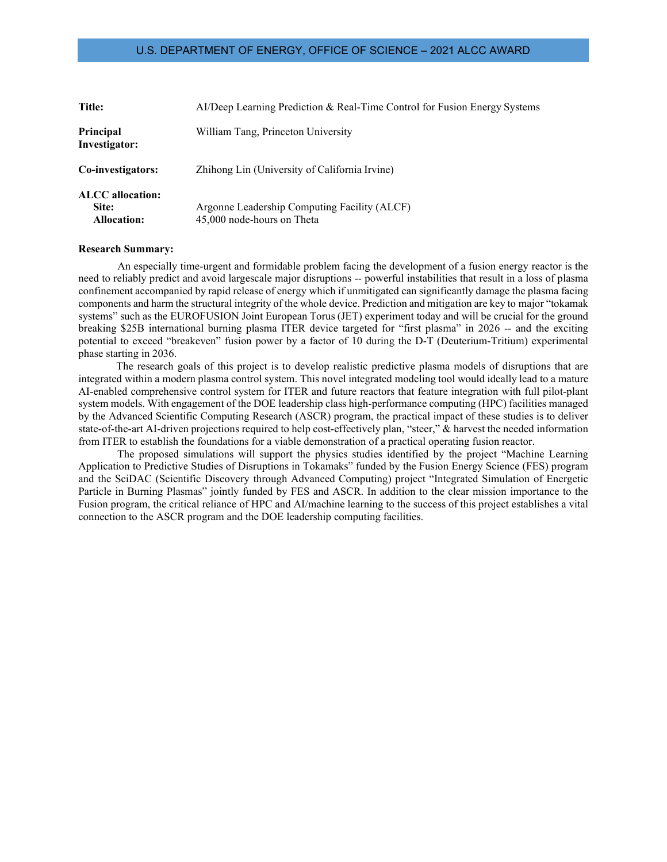| Title:                                                 | Al/Deep Learning Prediction & Real-Time Control for Fusion Energy Systems  |
|--------------------------------------------------------|----------------------------------------------------------------------------|
| Principal<br>Investigator:                             | William Tang, Princeton University                                         |
| Co-investigators:                                      | Zhihong Lin (University of California Irvine)                              |
| <b>ALCC</b> allocation:<br>Site:<br><b>Allocation:</b> | Argonne Leadership Computing Facility (ALCF)<br>45,000 node-hours on Theta |

#### **Research Summary:**

An especially time-urgent and formidable problem facing the development of a fusion energy reactor is the need to reliably predict and avoid largescale major disruptions -- powerful instabilities that result in a loss of plasma confinement accompanied by rapid release of energy which if unmitigated can significantly damage the plasma facing components and harm the structural integrity of the whole device. Prediction and mitigation are key to major "tokamak systems" such as the EUROFUSION Joint European Torus (JET) experiment today and will be crucial for the ground breaking \$25B international burning plasma ITER device targeted for "first plasma" in 2026 -- and the exciting potential to exceed "breakeven" fusion power by a factor of 10 during the D-T (Deuterium-Tritium) experimental phase starting in 2036.

The research goals of this project is to develop realistic predictive plasma models of disruptions that are integrated within a modern plasma control system. This novel integrated modeling tool would ideally lead to a mature AI-enabled comprehensive control system for ITER and future reactors that feature integration with full pilot-plant system models. With engagement of the DOE leadership class high-performance computing (HPC) facilities managed by the Advanced Scientific Computing Research (ASCR) program, the practical impact of these studies is to deliver state-of-the-art AI-driven projections required to help cost-effectively plan, "steer," & harvest the needed information from ITER to establish the foundations for a viable demonstration of a practical operating fusion reactor.

The proposed simulations will support the physics studies identified by the project "Machine Learning Application to Predictive Studies of Disruptions in Tokamaks" funded by the Fusion Energy Science (FES) program and the SciDAC (Scientific Discovery through Advanced Computing) project "Integrated Simulation of Energetic Particle in Burning Plasmas" jointly funded by FES and ASCR. In addition to the clear mission importance to the Fusion program, the critical reliance of HPC and AI/machine learning to the success of this project establishes a vital connection to the ASCR program and the DOE leadership computing facilities.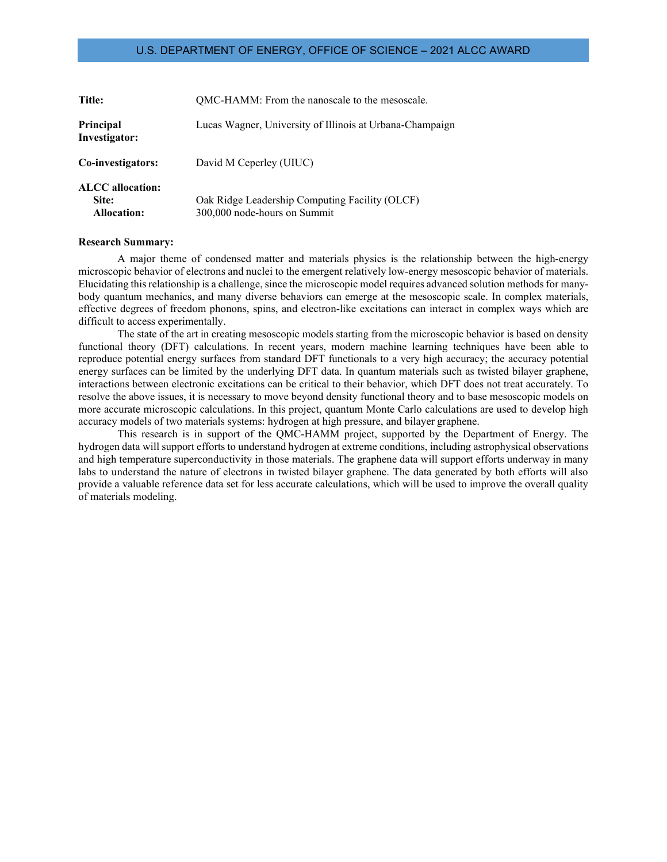| <b>Title:</b>                                          | QMC-HAMM: From the nanoscale to the mesoscale.                                 |
|--------------------------------------------------------|--------------------------------------------------------------------------------|
| <b>Principal</b><br>Investigator:                      | Lucas Wagner, University of Illinois at Urbana-Champaign                       |
| Co-investigators:                                      | David M Ceperley (UIUC)                                                        |
| <b>ALCC</b> allocation:<br>Site:<br><b>Allocation:</b> | Oak Ridge Leadership Computing Facility (OLCF)<br>300,000 node-hours on Summit |

#### **Research Summary:**

A major theme of condensed matter and materials physics is the relationship between the high-energy microscopic behavior of electrons and nuclei to the emergent relatively low-energy mesoscopic behavior of materials. Elucidating this relationship is a challenge, since the microscopic model requires advanced solution methods for manybody quantum mechanics, and many diverse behaviors can emerge at the mesoscopic scale. In complex materials, effective degrees of freedom phonons, spins, and electron-like excitations can interact in complex ways which are difficult to access experimentally.

The state of the art in creating mesoscopic models starting from the microscopic behavior is based on density functional theory (DFT) calculations. In recent years, modern machine learning techniques have been able to reproduce potential energy surfaces from standard DFT functionals to a very high accuracy; the accuracy potential energy surfaces can be limited by the underlying DFT data. In quantum materials such as twisted bilayer graphene, interactions between electronic excitations can be critical to their behavior, which DFT does not treat accurately. To resolve the above issues, it is necessary to move beyond density functional theory and to base mesoscopic models on more accurate microscopic calculations. In this project, quantum Monte Carlo calculations are used to develop high accuracy models of two materials systems: hydrogen at high pressure, and bilayer graphene.

This research is in support of the QMC-HAMM project, supported by the Department of Energy. The hydrogen data will support efforts to understand hydrogen at extreme conditions, including astrophysical observations and high temperature superconductivity in those materials. The graphene data will support efforts underway in many labs to understand the nature of electrons in twisted bilayer graphene. The data generated by both efforts will also provide a valuable reference data set for less accurate calculations, which will be used to improve the overall quality of materials modeling.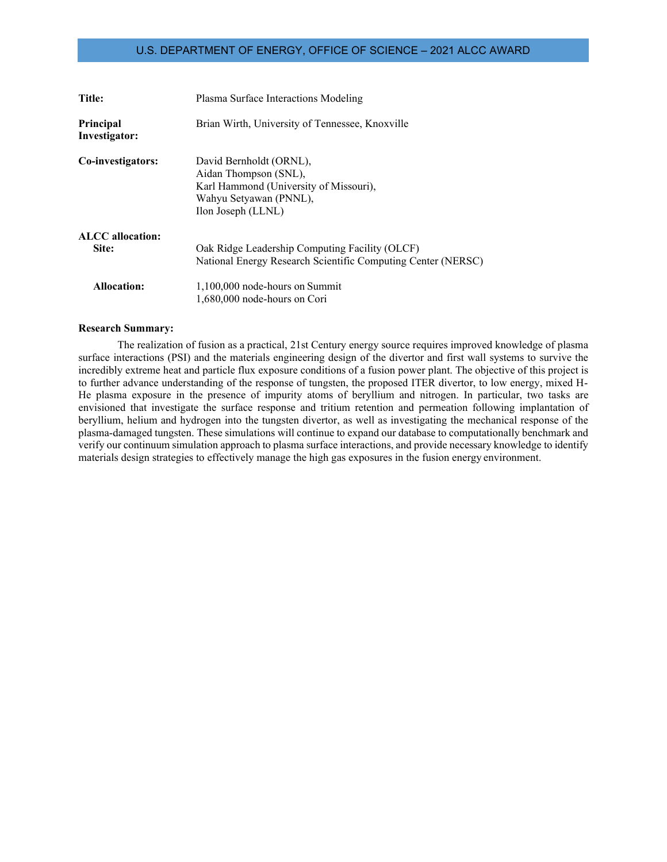| Title:                     | Plasma Surface Interactions Modeling                                                                                                       |
|----------------------------|--------------------------------------------------------------------------------------------------------------------------------------------|
| Principal<br>Investigator: | Brian Wirth, University of Tennessee, Knoxville                                                                                            |
| Co-investigators:          | David Bernholdt (ORNL),<br>Aidan Thompson (SNL),<br>Karl Hammond (University of Missouri),<br>Wahyu Setyawan (PNNL),<br>Ilon Joseph (LLNL) |
| <b>ALCC</b> allocation:    |                                                                                                                                            |
| Site:                      | Oak Ridge Leadership Computing Facility (OLCF)                                                                                             |
|                            | National Energy Research Scientific Computing Center (NERSC)                                                                               |
| <b>Allocation:</b>         | $1,100,000$ node-hours on Summit                                                                                                           |
|                            | 1,680,000 node-hours on Cori                                                                                                               |

### **Research Summary:**

The realization of fusion as a practical, 21st Century energy source requires improved knowledge of plasma surface interactions (PSI) and the materials engineering design of the divertor and first wall systems to survive the incredibly extreme heat and particle flux exposure conditions of a fusion power plant. The objective of this project is to further advance understanding of the response of tungsten, the proposed ITER divertor, to low energy, mixed H-He plasma exposure in the presence of impurity atoms of beryllium and nitrogen. In particular, two tasks are envisioned that investigate the surface response and tritium retention and permeation following implantation of beryllium, helium and hydrogen into the tungsten divertor, as well as investigating the mechanical response of the plasma-damaged tungsten. These simulations will continue to expand our database to computationally benchmark and verify our continuum simulation approach to plasma surface interactions, and provide necessary knowledge to identify materials design strategies to effectively manage the high gas exposures in the fusion energy environment.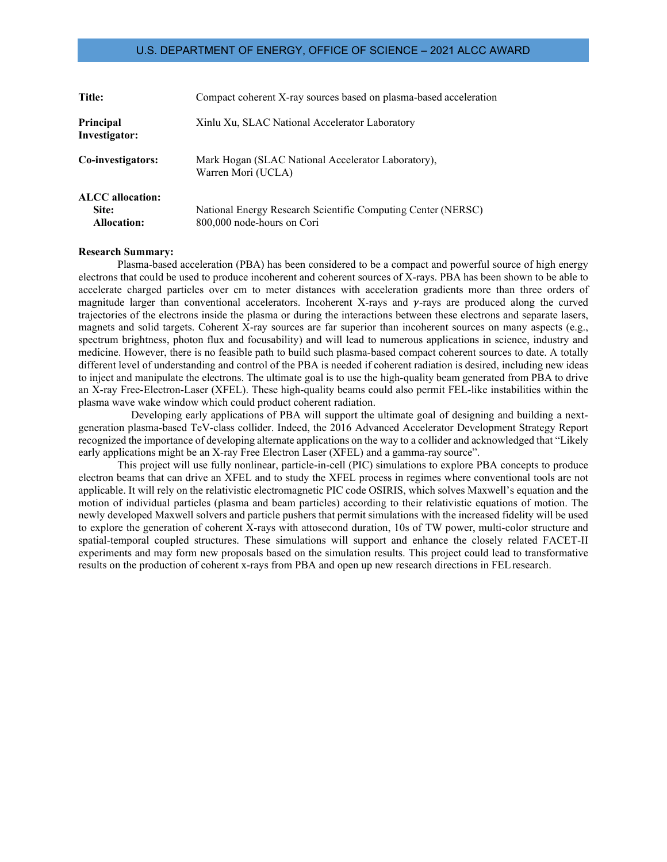| Title:                                                 | Compact coherent X-ray sources based on plasma-based acceleration                          |
|--------------------------------------------------------|--------------------------------------------------------------------------------------------|
| Principal<br>Investigator:                             | Xinlu Xu, SLAC National Accelerator Laboratory                                             |
| Co-investigators:                                      | Mark Hogan (SLAC National Accelerator Laboratory),<br>Warren Mori (UCLA)                   |
| <b>ALCC</b> allocation:<br>Site:<br><b>Allocation:</b> | National Energy Research Scientific Computing Center (NERSC)<br>800,000 node-hours on Cori |

#### **Research Summary:**

Plasma-based acceleration (PBA) has been considered to be a compact and powerful source of high energy electrons that could be used to produce incoherent and coherent sources of X-rays. PBA has been shown to be able to accelerate charged particles over cm to meter distances with acceleration gradients more than three orders of magnitude larger than conventional accelerators. Incoherent X-rays and  $\gamma$ -rays are produced along the curved trajectories of the electrons inside the plasma or during the interactions between these electrons and separate lasers, magnets and solid targets. Coherent X-ray sources are far superior than incoherent sources on many aspects (e.g., spectrum brightness, photon flux and focusability) and will lead to numerous applications in science, industry and medicine. However, there is no feasible path to build such plasma-based compact coherent sources to date. A totally different level of understanding and control of the PBA is needed if coherent radiation is desired, including new ideas to inject and manipulate the electrons. The ultimate goal is to use the high-quality beam generated from PBA to drive an X-ray Free-Electron-Laser (XFEL). These high-quality beams could also permit FEL-like instabilities within the plasma wave wake window which could product coherent radiation.

Developing early applications of PBA will support the ultimate goal of designing and building a nextgeneration plasma-based TeV-class collider. Indeed, the 2016 Advanced Accelerator Development Strategy Report recognized the importance of developing alternate applications on the way to a collider and acknowledged that "Likely early applications might be an X-ray Free Electron Laser (XFEL) and a gamma-ray source".

This project will use fully nonlinear, particle-in-cell (PIC) simulations to explore PBA concepts to produce electron beams that can drive an XFEL and to study the XFEL process in regimes where conventional tools are not applicable. It will rely on the relativistic electromagnetic PIC code OSIRIS, which solves Maxwell's equation and the motion of individual particles (plasma and beam particles) according to their relativistic equations of motion. The newly developed Maxwell solvers and particle pushers that permit simulations with the increased fidelity will be used to explore the generation of coherent X-rays with attosecond duration, 10s of TW power, multi-color structure and spatial-temporal coupled structures. These simulations will support and enhance the closely related FACET-II experiments and may form new proposals based on the simulation results. This project could lead to transformative results on the production of coherent x-rays from PBA and open up new research directions in FELresearch.